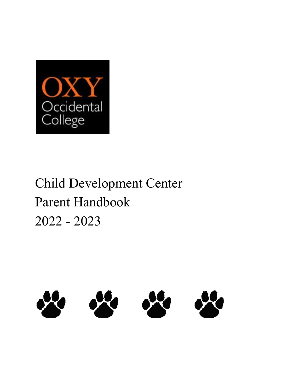

# Child Development Center Parent Handbook 2022 - 2023

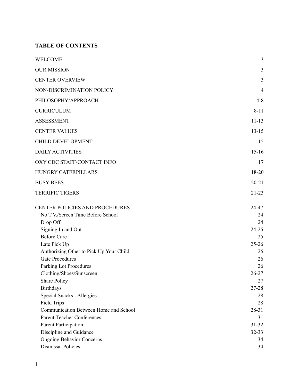# **TABLE OF CONTENTS**

| WELCOME                                                           | 3              |
|-------------------------------------------------------------------|----------------|
| <b>OUR MISSION</b>                                                | 3              |
| <b>CENTER OVERVIEW</b>                                            | $\overline{3}$ |
| NON-DISCRIMINATION POLICY                                         | $\overline{4}$ |
| PHILOSOPHY/APPROACH                                               | $4 - 8$        |
| <b>CURRICULUM</b>                                                 | $8 - 11$       |
| <b>ASSESSMENT</b>                                                 | $11 - 13$      |
| <b>CENTER VALUES</b>                                              | $13 - 15$      |
| <b>CHILD DEVELOPMENT</b>                                          | 15             |
| <b>DAILY ACTIVITIES</b>                                           | $15 - 16$      |
| OXY CDC STAFF/CONTACT INFO                                        | 17             |
| HUNGRY CATERPILLARS                                               | 18-20          |
| <b>BUSY BEES</b>                                                  | $20 - 21$      |
| <b>TERRIFIC TIGERS</b>                                            | $21 - 23$      |
| CENTER POLICIES AND PROCEDURES                                    | 24-47          |
| No T.V./Screen Time Before School                                 | 24             |
| Drop Off                                                          | 24             |
| Signing In and Out                                                | $24 - 25$      |
| <b>Before Care</b>                                                | 25             |
| Late Pick Up                                                      | $25 - 26$      |
| Authorizing Other to Pick Up Your Child<br><b>Gate Procedures</b> | 26             |
| <b>Parking Lot Procedures</b>                                     | 26<br>26       |
| Clothing/Shoes/Sunscreen                                          | 26-27          |
| <b>Share Policy</b>                                               | 27             |
| <b>Birthdays</b>                                                  | $27 - 28$      |
| Special Snacks - Allergies                                        | 28             |
| <b>Field Trips</b>                                                | 28             |
| Communication Between Home and School                             | $28 - 31$      |
| Parent-Teacher Conferences                                        | 31             |
| Parent Participation                                              | $31 - 32$      |
| Discipline and Guidance                                           | $32 - 33$      |
| <b>Ongoing Behavior Concerns</b>                                  | 34             |
| <b>Dismissal Policies</b>                                         | 34             |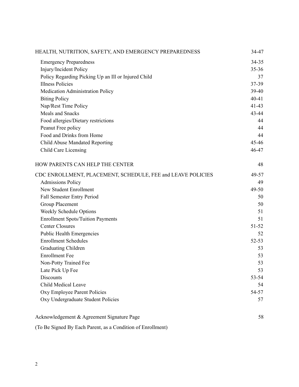| 34-35<br><b>Emergency Preparedness</b><br>Injury/Incident Policy<br>$35 - 36$<br>Policy Regarding Picking Up an Ill or Injured Child<br>37<br><b>Illness Policies</b><br>37-39<br>Medication Administration Policy<br>39-40<br>$40 - 41$<br><b>Biting Policy</b><br>Nap/Rest Time Policy<br>$41 - 43$<br>Meals and Snacks<br>43-44<br>Food allergies/Dietary restrictions<br>44<br>Peanut Free policy<br>44<br>Food and Drinks from Home<br>44<br>$45 - 46$<br>Child Abuse Mandated Reporting<br>46-47<br><b>Child Care Licensing</b><br>HOW PARENTS CAN HELP THE CENTER<br>48<br>CDC ENROLLMENT, PLACEMENT, SCHEDULE, FEE and LEAVE POLICIES<br><b>Admissions Policy</b><br>49<br>New Student Enrollment<br>49-50<br>Fall Semester Entry Period<br>50<br><b>Group Placement</b><br>50<br>Weekly Schedule Options<br>51<br><b>Enrollment Spots/Tuition Payments</b><br>51<br><b>Center Closures</b><br>$51 - 52$<br><b>Public Health Emergencies</b><br>52<br><b>Enrollment Schedules</b><br>Graduating Children<br>53<br><b>Enrollment Fee</b><br>53<br>Non-Potty Trained Fee<br>53<br>Late Pick Up Fee<br>53<br>Discounts<br>53-54<br>Child Medical Leave<br>54<br>Oxy Employee Parent Policies<br>54-57<br>Oxy Undergraduate Student Policies<br>57<br>Acknowledgement & Agreement Signature Page<br>58 | HEALTH, NUTRITION, SAFETY, AND EMERGENCY PREPAREDNESS | 34-47     |
|------------------------------------------------------------------------------------------------------------------------------------------------------------------------------------------------------------------------------------------------------------------------------------------------------------------------------------------------------------------------------------------------------------------------------------------------------------------------------------------------------------------------------------------------------------------------------------------------------------------------------------------------------------------------------------------------------------------------------------------------------------------------------------------------------------------------------------------------------------------------------------------------------------------------------------------------------------------------------------------------------------------------------------------------------------------------------------------------------------------------------------------------------------------------------------------------------------------------------------------------------------------------------------------------------------|-------------------------------------------------------|-----------|
|                                                                                                                                                                                                                                                                                                                                                                                                                                                                                                                                                                                                                                                                                                                                                                                                                                                                                                                                                                                                                                                                                                                                                                                                                                                                                                            |                                                       |           |
|                                                                                                                                                                                                                                                                                                                                                                                                                                                                                                                                                                                                                                                                                                                                                                                                                                                                                                                                                                                                                                                                                                                                                                                                                                                                                                            |                                                       |           |
|                                                                                                                                                                                                                                                                                                                                                                                                                                                                                                                                                                                                                                                                                                                                                                                                                                                                                                                                                                                                                                                                                                                                                                                                                                                                                                            |                                                       |           |
|                                                                                                                                                                                                                                                                                                                                                                                                                                                                                                                                                                                                                                                                                                                                                                                                                                                                                                                                                                                                                                                                                                                                                                                                                                                                                                            |                                                       |           |
|                                                                                                                                                                                                                                                                                                                                                                                                                                                                                                                                                                                                                                                                                                                                                                                                                                                                                                                                                                                                                                                                                                                                                                                                                                                                                                            |                                                       |           |
|                                                                                                                                                                                                                                                                                                                                                                                                                                                                                                                                                                                                                                                                                                                                                                                                                                                                                                                                                                                                                                                                                                                                                                                                                                                                                                            |                                                       |           |
|                                                                                                                                                                                                                                                                                                                                                                                                                                                                                                                                                                                                                                                                                                                                                                                                                                                                                                                                                                                                                                                                                                                                                                                                                                                                                                            |                                                       |           |
|                                                                                                                                                                                                                                                                                                                                                                                                                                                                                                                                                                                                                                                                                                                                                                                                                                                                                                                                                                                                                                                                                                                                                                                                                                                                                                            |                                                       |           |
|                                                                                                                                                                                                                                                                                                                                                                                                                                                                                                                                                                                                                                                                                                                                                                                                                                                                                                                                                                                                                                                                                                                                                                                                                                                                                                            |                                                       |           |
|                                                                                                                                                                                                                                                                                                                                                                                                                                                                                                                                                                                                                                                                                                                                                                                                                                                                                                                                                                                                                                                                                                                                                                                                                                                                                                            |                                                       |           |
|                                                                                                                                                                                                                                                                                                                                                                                                                                                                                                                                                                                                                                                                                                                                                                                                                                                                                                                                                                                                                                                                                                                                                                                                                                                                                                            |                                                       |           |
|                                                                                                                                                                                                                                                                                                                                                                                                                                                                                                                                                                                                                                                                                                                                                                                                                                                                                                                                                                                                                                                                                                                                                                                                                                                                                                            |                                                       |           |
|                                                                                                                                                                                                                                                                                                                                                                                                                                                                                                                                                                                                                                                                                                                                                                                                                                                                                                                                                                                                                                                                                                                                                                                                                                                                                                            |                                                       |           |
|                                                                                                                                                                                                                                                                                                                                                                                                                                                                                                                                                                                                                                                                                                                                                                                                                                                                                                                                                                                                                                                                                                                                                                                                                                                                                                            |                                                       |           |
|                                                                                                                                                                                                                                                                                                                                                                                                                                                                                                                                                                                                                                                                                                                                                                                                                                                                                                                                                                                                                                                                                                                                                                                                                                                                                                            |                                                       | 49-57     |
|                                                                                                                                                                                                                                                                                                                                                                                                                                                                                                                                                                                                                                                                                                                                                                                                                                                                                                                                                                                                                                                                                                                                                                                                                                                                                                            |                                                       |           |
|                                                                                                                                                                                                                                                                                                                                                                                                                                                                                                                                                                                                                                                                                                                                                                                                                                                                                                                                                                                                                                                                                                                                                                                                                                                                                                            |                                                       |           |
|                                                                                                                                                                                                                                                                                                                                                                                                                                                                                                                                                                                                                                                                                                                                                                                                                                                                                                                                                                                                                                                                                                                                                                                                                                                                                                            |                                                       |           |
|                                                                                                                                                                                                                                                                                                                                                                                                                                                                                                                                                                                                                                                                                                                                                                                                                                                                                                                                                                                                                                                                                                                                                                                                                                                                                                            |                                                       |           |
|                                                                                                                                                                                                                                                                                                                                                                                                                                                                                                                                                                                                                                                                                                                                                                                                                                                                                                                                                                                                                                                                                                                                                                                                                                                                                                            |                                                       |           |
|                                                                                                                                                                                                                                                                                                                                                                                                                                                                                                                                                                                                                                                                                                                                                                                                                                                                                                                                                                                                                                                                                                                                                                                                                                                                                                            |                                                       |           |
|                                                                                                                                                                                                                                                                                                                                                                                                                                                                                                                                                                                                                                                                                                                                                                                                                                                                                                                                                                                                                                                                                                                                                                                                                                                                                                            |                                                       |           |
|                                                                                                                                                                                                                                                                                                                                                                                                                                                                                                                                                                                                                                                                                                                                                                                                                                                                                                                                                                                                                                                                                                                                                                                                                                                                                                            |                                                       |           |
|                                                                                                                                                                                                                                                                                                                                                                                                                                                                                                                                                                                                                                                                                                                                                                                                                                                                                                                                                                                                                                                                                                                                                                                                                                                                                                            |                                                       | $52 - 53$ |
|                                                                                                                                                                                                                                                                                                                                                                                                                                                                                                                                                                                                                                                                                                                                                                                                                                                                                                                                                                                                                                                                                                                                                                                                                                                                                                            |                                                       |           |
|                                                                                                                                                                                                                                                                                                                                                                                                                                                                                                                                                                                                                                                                                                                                                                                                                                                                                                                                                                                                                                                                                                                                                                                                                                                                                                            |                                                       |           |
|                                                                                                                                                                                                                                                                                                                                                                                                                                                                                                                                                                                                                                                                                                                                                                                                                                                                                                                                                                                                                                                                                                                                                                                                                                                                                                            |                                                       |           |
|                                                                                                                                                                                                                                                                                                                                                                                                                                                                                                                                                                                                                                                                                                                                                                                                                                                                                                                                                                                                                                                                                                                                                                                                                                                                                                            |                                                       |           |
|                                                                                                                                                                                                                                                                                                                                                                                                                                                                                                                                                                                                                                                                                                                                                                                                                                                                                                                                                                                                                                                                                                                                                                                                                                                                                                            |                                                       |           |
|                                                                                                                                                                                                                                                                                                                                                                                                                                                                                                                                                                                                                                                                                                                                                                                                                                                                                                                                                                                                                                                                                                                                                                                                                                                                                                            |                                                       |           |
|                                                                                                                                                                                                                                                                                                                                                                                                                                                                                                                                                                                                                                                                                                                                                                                                                                                                                                                                                                                                                                                                                                                                                                                                                                                                                                            |                                                       |           |
|                                                                                                                                                                                                                                                                                                                                                                                                                                                                                                                                                                                                                                                                                                                                                                                                                                                                                                                                                                                                                                                                                                                                                                                                                                                                                                            |                                                       |           |
|                                                                                                                                                                                                                                                                                                                                                                                                                                                                                                                                                                                                                                                                                                                                                                                                                                                                                                                                                                                                                                                                                                                                                                                                                                                                                                            |                                                       |           |

(To Be Signed By Each Parent, as a Condition of Enrollment[\)](https://docs.google.com/document/d/14WqmvFza6aHpZYXAwN1GUCGUT_5RCiKJjs79CweuN1I/edit#_Toc321994627)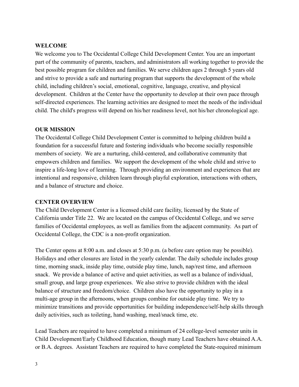#### **WELCOME**

We welcome you to The Occidental College Child Development Center. You are an important part of the community of parents, teachers, and administrators all working together to provide the best possible program for children and families. We serve children ages 2 through 5 years old and strive to provide a safe and nurturing program that supports the development of the whole child, including children's social, emotional, cognitive, language, creative, and physical development. Children at the Center have the opportunity to develop at their own pace through self-directed experiences. The learning activities are designed to meet the needs of the individual child. The child's progress will depend on his/her readiness level, not his/her chronological age.

#### **OUR MISSION**

The Occidental College Child Development Center is committed to helping children build a foundation for a successful future and fostering individuals who become socially responsible members of society. We are a nurturing, child-centered, and collaborative community that empowers children and families. We support the development of the whole child and strive to inspire a life-long love of learning. Through providing an environment and experiences that are intentional and responsive, children learn through playful exploration, interactions with others, and a balance of structure and choice.

#### **CENTER OVERVIEW**

The Child Development Center is a licensed child care facility, licensed by the State of California under Title 22. We are located on the campus of Occidental College, and we serve families of Occidental employees, as well as families from the adjacent community. As part of Occidental College, the CDC is a non-profit organization.

The Center opens at 8:00 a.m. and closes at 5:30 p.m. (a before care option may be possible). Holidays and other closures are listed in the yearly calendar. The daily schedule includes group time, morning snack, inside play time, outside play time, lunch, nap/rest time, and afternoon snack. We provide a balance of active and quiet activities, as well as a balance of individual, small group, and large group experiences. We also strive to provide children with the ideal balance of structure and freedom/choice. Children also have the opportunity to play in a multi-age group in the afternoons, when groups combine for outside play time. We try to minimize transitions and provide opportunities for building independence/self-help skills through daily activities, such as toileting, hand washing, meal/snack time, etc.

Lead Teachers are required to have completed a minimum of 24 college-level semester units in Child Development/Early Childhood Education, though many Lead Teachers have obtained A.A. or B.A. degrees. Assistant Teachers are required to have completed the State-required minimum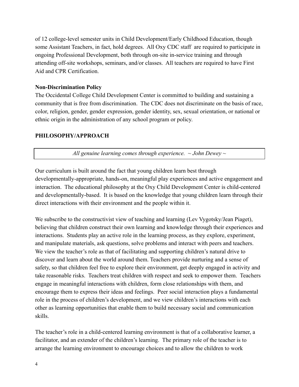of 12 college-level semester units in Child Development/Early Childhood Education, though some Assistant Teachers, in fact, hold degrees. All Oxy CDC staff are required to participate in ongoing Professional Development, both through on-site in-service training and through attending off-site workshops, seminars, and/or classes. All teachers are required to have First Aid and CPR Certification.

#### **Non-Discrimination Policy**

The Occidental College Child Development Center is committed to building and sustaining a community that is free from discrimination. The CDC does not discriminate on the basis of race, color, religion, gender, gender expression, gender identity, sex, sexual orientation, or national or ethnic origin in the administration of any school program or policy.

#### **PHILOSOPHY/APPROACH**

*All genuine learning comes through experience. ~ John Dewey ~*

Our curriculum is built around the fact that young children learn best through developmentally-appropriate, hands-on, meaningful play experiences and active engagement and interaction. The educational philosophy at the Oxy Child Development Center is child-centered and developmentally-based. It is based on the knowledge that young children learn through their direct interactions with their environment and the people within it.

We subscribe to the constructivist view of teaching and learning (Lev Vygotsky/Jean Piaget), believing that children construct their own learning and knowledge through their experiences and interactions. Students play an active role in the learning process, as they explore, experiment, and manipulate materials, ask questions, solve problems and interact with peers and teachers. We view the teacher's role as that of facilitating and supporting children's natural drive to discover and learn about the world around them. Teachers provide nurturing and a sense of safety, so that children feel free to explore their environment, get deeply engaged in activity and take reasonable risks. Teachers treat children with respect and seek to empower them. Teachers engage in meaningful interactions with children, form close relationships with them, and encourage them to express their ideas and feelings. Peer social interaction plays a fundamental role in the process of children's development, and we view children's interactions with each other as learning opportunities that enable them to build necessary social and communication skills.

The teacher's role in a child-centered learning environment is that of a collaborative learner, a facilitator, and an extender of the children's learning. The primary role of the teacher is to arrange the learning environment to encourage choices and to allow the children to work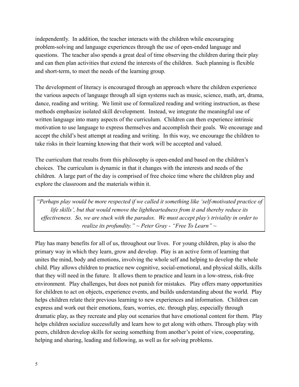independently. In addition, the teacher interacts with the children while encouraging problem-solving and language experiences through the use of open-ended language and questions. The teacher also spends a great deal of time observing the children during their play and can then plan activities that extend the interests of the children. Such planning is flexible and short-term, to meet the needs of the learning group.

The development of literacy is encouraged through an approach where the children experience the various aspects of language through all sign systems such as music, science, math, art, drama, dance, reading and writing. We limit use of formalized reading and writing instruction, as these methods emphasize isolated skill development. Instead, we integrate the meaningful use of written language into many aspects of the curriculum. Children can then experience intrinsic motivation to use language to express themselves and accomplish their goals. We encourage and accept the child's best attempt at reading and writing. In this way, we encourage the children to take risks in their learning knowing that their work will be accepted and valued.

The curriculum that results from this philosophy is open-ended and based on the children's choices. The curriculum is dynamic in that it changes with the interests and needs of the children. A large part of the day is comprised of free choice time where the children play and explore the classroom and the materials within it.

*"Perhaps play would be more respected if we called it something like 'self-motivated practice of life skills', but that would remove the lightheartedness from it and thereby reduce its effectiveness. So, we are stuck with the paradox. We must accept play's triviality in order to realize its profundity." ~ Peter Gray - "Free To Learn" ~*

Play has many benefits for all of us, throughout our lives. For young children, play is also the primary way in which they learn, grow and develop. Play is an active form of learning that unites the mind, body and emotions, involving the whole self and helping to develop the whole child. Play allows children to practice new cognitive, social-emotional, and physical skills, skills that they will need in the future. It allows them to practice and learn in a low-stress, risk-free environment. Play challenges, but does not punish for mistakes. Play offers many opportunities for children to act on objects, experience events, and builds understanding about the world. Play helps children relate their previous learning to new experiences and information. Children can express and work out their emotions, fears, worries, etc. through play, especially through dramatic play, as they recreate and play out scenarios that have emotional content for them. Play helps children socialize successfully and learn how to get along with others. Through play with peers, children develop skills for seeing something from another's point of view, cooperating, helping and sharing, leading and following, as well as for solving problems.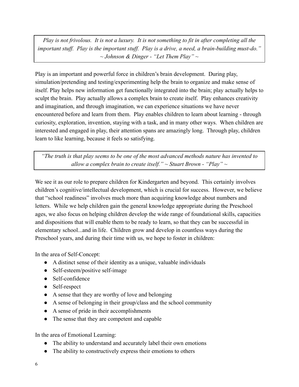*Play is not frivolous. It is not a luxury. It is not something to fit in after completing all the important stuff. Play is the important stuff. Play is a drive, a need, a brain-building must-do." ~ Johnson & Dinger - "Let Them Play" ~*

Play is an important and powerful force in children's brain development. During play, simulation/pretending and testing/experimenting help the brain to organize and make sense of itself. Play helps new information get functionally integrated into the brain; play actually helps to sculpt the brain. Play actually allows a complex brain to create itself. Play enhances creativity and imagination, and through imagination, we can experience situations we have never encountered before and learn from them. Play enables children to learn about learning - through curiosity, exploration, invention, staying with a task, and in many other ways. When children are interested and engaged in play, their attention spans are amazingly long. Through play, children learn to like learning, because it feels so satisfying.

*"The truth is that play seems to be one of the most advanced methods nature has invented to allow a complex brain to create itself." ~ Stuart Brown - "Play" ~*

We see it as our role to prepare children for Kindergarten and beyond. This certainly involves children's cognitive/intellectual development, which is crucial for success. However, we believe that "school readiness" involves much more than acquiring knowledge about numbers and letters. While we help children gain the general knowledge appropriate during the Preschool ages, we also focus on helping children develop the wide range of foundational skills, capacities and dispositions that will enable them to be ready to learn, so that they can be successful in elementary school...and in life. Children grow and develop in countless ways during the Preschool years, and during their time with us, we hope to foster in children:

In the area of Self-Concept:

- A distinct sense of their identity as a unique, valuable individuals
- Self-esteem/positive self-image
- Self-confidence
- Self-respect
- A sense that they are worthy of love and belonging
- A sense of belonging in their group/class and the school community
- A sense of pride in their accomplishments
- The sense that they are competent and capable

In the area of Emotional Learning:

- The ability to understand and accurately label their own emotions
- The ability to constructively express their emotions to others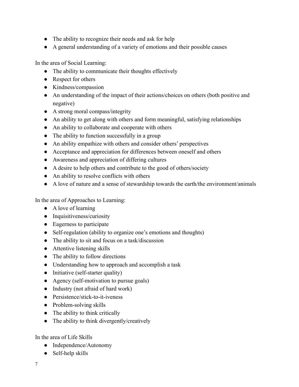- The ability to recognize their needs and ask for help
- A general understanding of a variety of emotions and their possible causes

In the area of Social Learning:

- The ability to communicate their thoughts effectively
- Respect for others
- Kindness/compassion
- An understanding of the impact of their actions/choices on others (both positive and negative)
- A strong moral compass/integrity
- An ability to get along with others and form meaningful, satisfying relationships
- An ability to collaborate and cooperate with others
- The ability to function successfully in a group
- An ability empathize with others and consider others' perspectives
- Acceptance and appreciation for differences between oneself and others
- Awareness and appreciation of differing cultures
- A desire to help others and contribute to the good of others/society
- An ability to resolve conflicts with others
- A love of nature and a sense of stewardship towards the earth/the environment/animals

In the area of Approaches to Learning:

- A love of learning
- Inquisitiveness/curiosity
- Eagerness to participate
- Self-regulation (ability to organize one's emotions and thoughts)
- The ability to sit and focus on a task/discussion
- Attentive listening skills
- The ability to follow directions
- Understanding how to approach and accomplish a task
- Initiative (self-starter quality)
- Agency (self-motivation to pursue goals)
- Industry (not afraid of hard work)
- Persistence/stick-to-it-iveness
- Problem-solving skills
- The ability to think critically
- The ability to think divergently/creatively

In the area of Life Skills

- Independence/Autonomy
- Self-help skills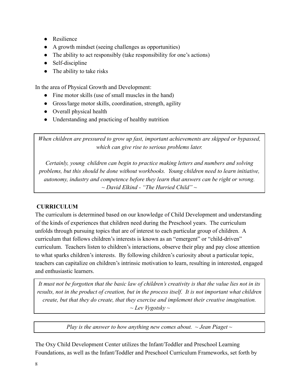- Resilience
- A growth mindset (seeing challenges as opportunities)
- The ability to act responsibly (take responsibility for one's actions)
- Self-discipline
- The ability to take risks

In the area of Physical Growth and Development:

- Fine motor skills (use of small muscles in the hand)
- Gross/large motor skills, coordination, strength, agility
- Overall physical health
- Understanding and practicing of healthy nutrition

*When children are pressured to grow up fast, important achievements are skipped or bypassed, which can give rise to serious problems later.*

*Certainly, young children can begin to practice making letters and numbers and solving problems, but this should be done without workbooks. Young children need to learn initiative, autonomy, industry and competence before they learn that answers can be right or wrong. ~ David Elkind - "The Hurried Child" ~*

# **CURRICULUM**

The curriculum is determined based on our knowledge of Child Development and understanding of the kinds of experiences that children need during the Preschool years. The curriculum unfolds through pursuing topics that are of interest to each particular group of children. A curriculum that follows children's interests is known as an "emergent" or "child-driven" curriculum. Teachers listen to children's interactions, observe their play and pay close attention to what sparks children's interests. By following children's curiosity about a particular topic, teachers can capitalize on children's intrinsic motivation to learn, resulting in interested, engaged and enthusiastic learners.

*It must not be forgotten that the basic law of children's creativity is that the value lies not in its results, not in the product of creation, but in the process itself. It is not important what children create, but that they do create, that they exercise and implement their creative imagination. ~ Lev Vygotsky ~*

*Play is the answer to how anything new comes about. ~ Jean Piaget ~*

The Oxy Child Development Center utilizes the Infant/Toddler and Preschool Learning Foundations, as well as the Infant/Toddler and Preschool Curriculum Frameworks, set forth by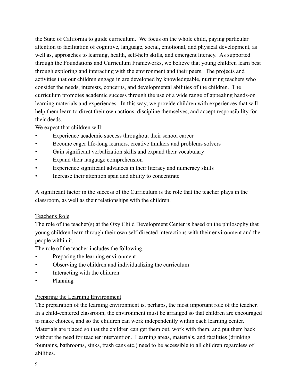the State of California to guide curriculum. We focus on the whole child, paying particular attention to facilitation of cognitive, language, social, emotional, and physical development, as well as, approaches to learning, health, self-help skills, and emergent literacy. As supported through the Foundations and Curriculum Frameworks, we believe that young children learn best through exploring and interacting with the environment and their peers. The projects and activities that our children engage in are developed by knowledgeable, nurturing teachers who consider the needs, interests, concerns, and developmental abilities of the children. The curriculum promotes academic success through the use of a wide range of appealing hands-on learning materials and experiences. In this way, we provide children with experiences that will help them learn to direct their own actions, discipline themselves, and accept responsibility for their deeds.

We expect that children will:

- Experience academic success throughout their school career
- Become eager life-long learners, creative thinkers and problems solvers
- Gain significant verbalization skills and expand their vocabulary
- Expand their language comprehension
- Experience significant advances in their literacy and numeracy skills
- Increase their attention span and ability to concentrate

A significant factor in the success of the Curriculum is the role that the teacher plays in the classroom, as well as their relationships with the children.

# Teacher's Role

The role of the teacher(s) at the Oxy Child Development Center is based on the philosophy that young children learn through their own self-directed interactions with their environment and the people within it.

The role of the teacher includes the following.

- Preparing the learning environment
- Observing the children and individualizing the curriculum
- Interacting with the children
- Planning

# Preparing the Learning Environment

The preparation of the learning environment is, perhaps, the most important role of the teacher. In a child-centered classroom, the environment must be arranged so that children are encouraged to make choices, and so the children can work independently within each learning center. Materials are placed so that the children can get them out, work with them, and put them back without the need for teacher intervention. Learning areas, materials, and facilities (drinking fountains, bathrooms, sinks, trash cans etc.) need to be accessible to all children regardless of abilities.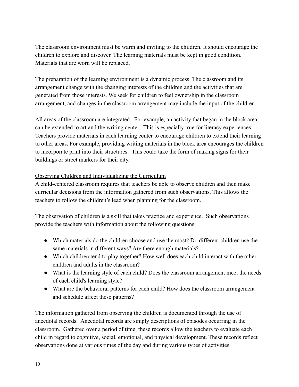The classroom environment must be warm and inviting to the children. It should encourage the children to explore and discover. The learning materials must be kept in good condition. Materials that are worn will be replaced.

The preparation of the learning environment is a dynamic process. The classroom and its arrangement change with the changing interests of the children and the activities that are generated from those interests. We seek for children to feel ownership in the classroom arrangement, and changes in the classroom arrangement may include the input of the children.

All areas of the classroom are integrated. For example, an activity that began in the block area can be extended to art and the writing center. This is especially true for literacy experiences. Teachers provide materials in each learning center to encourage children to extend their learning to other areas. For example, providing writing materials in the block area encourages the children to incorporate print into their structures. This could take the form of making signs for their buildings or street markers for their city.

# Observing Children and Individualizing the Curriculum

A child-centered classroom requires that teachers be able to observe children and then make curricular decisions from the information gathered from such observations. This allows the teachers to follow the children's lead when planning for the classroom.

The observation of children is a skill that takes practice and experience. Such observations provide the teachers with information about the following questions:

- Which materials do the children choose and use the most? Do different children use the same materials in different ways? Are there enough materials?
- Which children tend to play together? How well does each child interact with the other children and adults in the classroom?
- What is the learning style of each child? Does the classroom arrangement meet the needs of each child's learning style?
- What are the behavioral patterns for each child? How does the classroom arrangement and schedule affect these patterns?

The information gathered from observing the children is documented through the use of anecdotal records. Anecdotal records are simply descriptions of episodes occurring in the classroom. Gathered over a period of time, these records allow the teachers to evaluate each child in regard to cognitive, social, emotional, and physical development. These records reflect observations done at various times of the day and during various types of activities.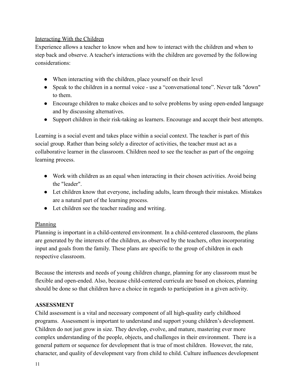#### Interacting With the Children

Experience allows a teacher to know when and how to interact with the children and when to step back and observe. A teacher's interactions with the children are governed by the following considerations:

- When interacting with the children, place yourself on their level
- Speak to the children in a normal voice use a "conversational tone". Never talk "down" to them.
- Encourage children to make choices and to solve problems by using open-ended language and by discussing alternatives.
- Support children in their risk-taking as learners. Encourage and accept their best attempts.

Learning is a social event and takes place within a social context. The teacher is part of this social group. Rather than being solely a director of activities, the teacher must act as a collaborative learner in the classroom. Children need to see the teacher as part of the ongoing learning process.

- Work with children as an equal when interacting in their chosen activities. Avoid being the "leader".
- Let children know that everyone, including adults, learn through their mistakes. Mistakes are a natural part of the learning process.
- Let children see the teacher reading and writing.

# Planning

Planning is important in a child-centered environment. In a child-centered classroom, the plans are generated by the interests of the children, as observed by the teachers, often incorporating input and goals from the family. These plans are specific to the group of children in each respective classroom.

Because the interests and needs of young children change, planning for any classroom must be flexible and open-ended. Also, because child-centered curricula are based on choices, planning should be done so that children have a choice in regards to participation in a given activity.

# **ASSESSMENT**

Child assessment is a vital and necessary component of all high-quality early childhood programs. Assessment is important to understand and support young children's development. Children do not just grow in size. They develop, evolve, and mature, mastering ever more complex understanding of the people, objects, and challenges in their environment. There is a general pattern or sequence for development that is true of most children. However, the rate, character, and quality of development vary from child to child. Culture influences development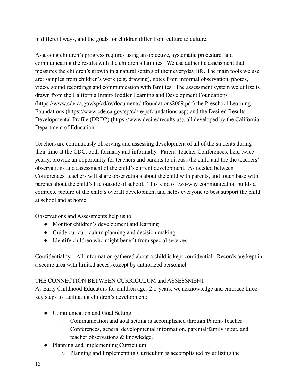in different ways, and the goals for children differ from culture to culture.

Assessing children's progress requires using an objective, systematic procedure, and communicating the results with the children's families. We use authentic assessment that measures the children's growth in a natural setting of their everyday life. The main tools we use are: samples from children's work (e.g. drawing), notes from informal observation, photos, video, sound recordings and communication with families. The assessment system we utilize is drawn from the California Infant/Toddler Learning and Development Foundations (<https://www.cde.ca.gov/sp/cd/re/documents/itfoundations2009.pdf>) the Preschool Learning Foundations [\(https://www.cde.ca.gov/sp/cd/re/psfoundations.asp](https://www.cde.ca.gov/sp/cd/re/psfoundations.asp)) and the Desired Results Developmental Profile (DRDP) (<https://www.desiredresults.us>), all developed by the California Department of Education.

Teachers are continuously observing and assessing development of all of the students during their time at the CDC, both formally and informally. Parent-Teacher Conferences, held twice yearly, provide an opportunity for teachers and parents to discuss the child and the the teachers' observations and assessment of the child's current development. As needed between Conferences, teachers will share observations about the child with parents, and touch base with parents about the child's life outside of school. This kind of two-way communication builds a complete picture of the child's overall development and helps everyone to best support the child at school and at home.

Observations and Assessments help us to:

- Monitor children's development and learning
- Guide our curriculum planning and decision making
- Identify children who might benefit from special services

Confidentiality – All information gathered about a child is kept confidential. Records are kept in a secure area with limited access except by authorized personnel.

# THE CONNECTION BETWEEN CURRICULUM and ASSESSMENT

As Early Childhood Educators for children ages 2-5 years, we acknowledge and embrace three key steps to facilitating children's development:

- Communication and Goal Setting
	- Communication and goal setting is accomplished through Parent-Teacher Conferences, general developmental information, parental/family input, and teacher observations & knowledge.
- Planning and Implementing Curriculum
	- Planning and Implementing Curriculum is accomplished by utilizing the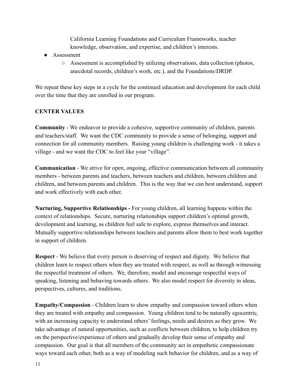California Learning Foundations and Curriculum Frameworks, teacher knowledge, observation, and expertise, and children's interests.

- Assessment
	- $\circ$  Assessment is accomplished by utilizing observations, data collection (photos, anecdotal records, children's work, etc.), and the Foundations/DRDP.

We repeat these key steps in a cycle for the continued education and development for each child over the time that they are enrolled in our program.

# **CENTER VALUES**

**Community** - We endeavor to provide a cohesive, supportive community of children, parents and teachers/staff. We want the CDC community to provide a sense of belonging, support and connection for all community members. Raising young children is challenging work - it takes a village - and we want the CDC to feel like your "village".

**Communication** - We strive for open, ongoing, effective communication between all community members - between parents and teachers, between teachers and children, between children and children, and between parents and children. This is the way that we can best understand, support and work effectively with each other.

**Nurturing, Supportive Relationships -** For young children, all learning happens within the context of relationships. Secure, nurturing relationships support children's optimal growth, development and learning, as children feel safe to explore, express themselves and interact. Mutually supportive relationships between teachers and parents allow them to best work together in support of children.

**Respect** - We believe that every person is deserving of respect and dignity. We believe that children learn to respect others when they are treated with respect, as well as through witnessing the respectful treatment of others. We, therefore, model and encourage respectful ways of speaking, listening and behaving towards others. We also model respect for diversity in ideas, perspectives, cultures, and traditions.

**Empathy/Compassion** - Children learn to show empathy and compassion toward others when they are treated with empathy and compassion. Young children tend to be naturally egocentric, with an increasing capacity to understand others' feelings, needs and desires as they grow. We take advantage of natural opportunities, such as conflicts between children, to help children try on the perspective/experience of others and gradually develop their sense of empathy and compassion. Our goal is that all members of the community act in empathetic compassionate ways toward each other, both as a way of modeling such behavior for children, and as a way of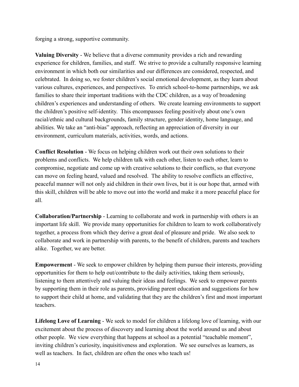forging a strong, supportive community.

**Valuing Diversity** - We believe that a diverse community provides a rich and rewarding experience for children, families, and staff. We strive to provide a culturally responsive learning environment in which both our similarities and our differences are considered, respected, and celebrated. In doing so, we foster children's social emotional development, as they learn about various cultures, experiences, and perspectives. To enrich school-to-home partnerships, we ask families to share their important traditions with the CDC children, as a way of broadening children's experiences and understanding of others. We create learning environments to support the children's positive self-identity. This encompasses feeling positively about one's own racial/ethnic and cultural backgrounds, family structure, gender identity, home language, and abilities. We take an "anti-bias" approach, reflecting an appreciation of diversity in our environment, curriculum materials, activities, words, and actions.

**Conflict Resolution** - We focus on helping children work out their own solutions to their problems and conflicts. We help children talk with each other, listen to each other, learn to compromise, negotiate and come up with creative solutions to their conflicts, so that everyone can move on feeling heard, valued and resolved. The ability to resolve conflicts an effective, peaceful manner will not only aid children in their own lives, but it is our hope that, armed with this skill, children will be able to move out into the world and make it a more peaceful place for all.

**Collaboration/Partnership** - Learning to collaborate and work in partnership with others is an important life skill. We provide many opportunities for children to learn to work collaboratively together, a process from which they derive a great deal of pleasure and pride. We also seek to collaborate and work in partnership with parents, to the benefit of children, parents and teachers alike. Together, we are better.

**Empowerment** - We seek to empower children by helping them pursue their interests, providing opportunities for them to help out/contribute to the daily activities, taking them seriously, listening to them attentively and valuing their ideas and feelings. We seek to empower parents by supporting them in their role as parents, providing parent education and suggestions for how to support their child at home, and validating that they are the children's first and most important teachers.

**Lifelong Love of Learning** - We seek to model for children a lifelong love of learning, with our excitement about the process of discovery and learning about the world around us and about other people. We view everything that happens at school as a potential "teachable moment", inviting children's curiosity, inquisitiveness and exploration. We see ourselves as learners, as well as teachers. In fact, children are often the ones who teach us!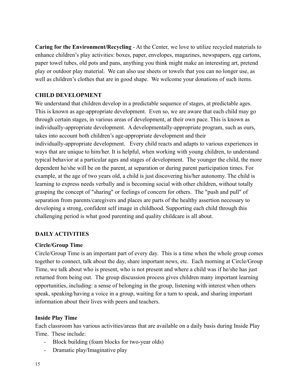**Caring for the Environment/Recycling** - At the Center, we love to utilize recycled materials to enhance children's play activities: boxes, paper, envelopes, magazines, newspapers, egg cartons, paper towel tubes, old pots and pans, anything you think might make an interesting art, pretend play or outdoor play material. We can also use sheets or towels that you can no longer use, as well as children's clothes that are in good shape. We welcome your donations of such items.

#### **CHILD DEVELOPMENT**

We understand that children develop in a predictable sequence of stages, at predictable ages. This is known as age-appropriate development. Even so, we are aware that each child may go through certain stages, in various areas of development, at their own pace. This is known as individually-appropriate development. A developmentally-appropriate program, such as ours, takes into account both children's age-appropriate development and their individually-appropriate development. Every child reacts and adapts to various experiences in ways that are unique to him/her. It is helpful, when working with young children, to understand typical behavior at a particular ages and stages of development. The younger the child, the more dependent he/she will be on the parent, at separation or during parent participation times. For example, at the age of two years old, a child is just discovering his/her autonomy. The child is learning to express needs verbally and is becoming social with other children, without totally grasping the concept of "sharing" or feelings of concern for others. The "push and pull" of separation from parents/caregivers and places are parts of the healthy assertion necessary to developing a strong, confident self image in childhood. Supporting each child through this challenging period is what good parenting and quality childcare is all about.

#### **DAILY ACTIVITIES**

#### **Circle/Group Time**

Circle/Group Time is an important part of every day. This is a time when the whole group comes together to connect, talk about the day, share important news, etc. Each morning at Circle/Group Time, we talk about who is present, who is not present and where a child was if he/she has just returned from being out. The group discussion process gives children many important learning opportunities, including: a sense of belonging in the group, listening with interest when others speak, speaking/having a voice in a group, waiting for a turn to speak, and sharing important information about their lives with peers and teachers.

#### **Inside Play Time**

Each classroom has various activities/areas that are available on a daily basis during Inside Play Time. These include:

- Block building (foam blocks for two-year olds)
- Dramatic play/Imaginative play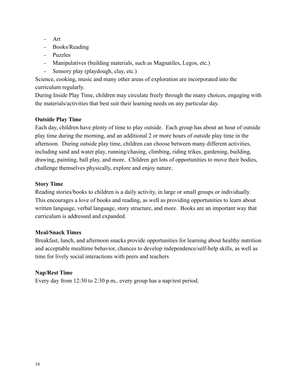- Art
- Books/Reading
- Puzzles
- Manipulatives (building materials, such as Magnatiles, Legos, etc.)
- Sensory play (playdough, clay, etc.)

Science, cooking, music and many other areas of exploration are incorporated into the curriculum regularly.

During Inside Play Time, children may circulate freely through the many choices, engaging with the materials/activities that best suit their learning needs on any particular day.

# **Outside Play Time**

Each day, children have plenty of time to play outside. Each group has about an hour of outside play time during the morning, and an additional 2 or more hours of outside play time in the afternoon. During outside play time, children can choose between many different activities, including sand and water play, running/chasing, climbing, riding trikes, gardening, building, drawing, painting, ball play, and more. Children get lots of opportunities to move their bodies, challenge themselves physically, explore and enjoy nature.

# **Story Time**

Reading stories/books to children is a daily activity, in large or small groups or individually. This encourages a love of books and reading, as well as providing opportunities to learn about written language, verbal language, story structure, and more. Books are an important way that curriculum is addressed and expanded.

# **Meal/Snack Times**

Breakfast, lunch, and afternoon snacks provide opportunities for learning about healthy nutrition and acceptable mealtime behavior, chances to develop independence/self-help skills, as well as time for lively social interactions with peers and teachers

# **Nap/Rest Time**

Every day from 12:30 to 2:30 p.m,. every group has a nap/rest period.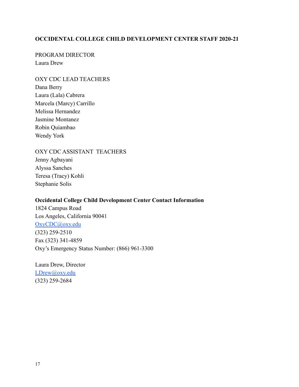#### **OCCIDENTAL COLLEGE CHILD DEVELOPMENT CENTER STAFF 2020-21**

PROGRAM DIRECTOR Laura Drew

OXY CDC LEAD TEACHERS Dana Berry Laura (Lala) Cabrera Marcela (Marcy) Carrillo Melissa Hernandez Jasmine Montanez Robin Quiambao Wendy York

OXY CDC ASSISTANT TEACHERS Jenny Agbayani Alyssa Sanches Teresa (Tracy) Kohli Stephanie Solis

#### **Occidental College Child Development Center Contact Information**

1824 Campus Road Los Angeles, California 90041 [OxyCDC@oxy.edu](mailto:OxyCDC@oxy.edu) (323) 259-2510 Fax (323) 341-4859 Oxy's Emergency Status Number: (866) 961-3300

Laura Drew, Director [LDrew@oxy.edu](mailto:LDrew@oxy.edu) (323) 259-2684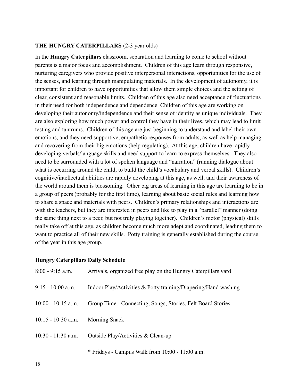#### **THE HUNGRY CATERPILLARS** (2-3 year olds)

In the **Hungry Caterpillars** classroom, separation and learning to come to school without parents is a major focus and accomplishment. Children of this age learn through responsive, nurturing caregivers who provide positive interpersonal interactions, opportunities for the use of the senses, and learning through manipulating materials. In the development of autonomy, it is important for children to have opportunities that allow them simple choices and the setting of clear, consistent and reasonable limits. Children of this age also need acceptance of fluctuations in their need for both independence and dependence. Children of this age are working on developing their autonomy/independence and their sense of identity as unique individuals. They are also exploring how much power and control they have in their lives, which may lead to limit testing and tantrums. Children of this age are just beginning to understand and label their own emotions, and they need supportive, empathetic responses from adults, as well as help managing and recovering from their big emotions (help regulating). At this age, children have rapidly developing verbals/language skills and need support to learn to express themselves. They also need to be surrounded with a lot of spoken language and "narration" (running dialogue about what is occurring around the child, to build the child's vocabulary and verbal skills). Children's cognitive/intellectual abilities are rapidly developing at this age, as well, and their awareness of the world around them is blossoming. Other big areas of learning in this age are learning to be in a group of peers (probably for the first time), learning about basic social rules and learning how to share a space and materials with peers. Children's primary relationships and interactions are with the teachers, but they are interested in peers and like to play in a "parallel" manner (doing the same thing next to a peer, but not truly playing together). Children's motor (physical) skills really take off at this age, as children become much more adept and coordinated, leading them to want to practice all of their new skills. Potty training is generally established during the course of the year in this age group.

#### **Hungry Caterpillars Daily Schedule**

| $8:00 - 9:15$ a.m.   | Arrivals, organized free play on the Hungry Caterpillars yard  |
|----------------------|----------------------------------------------------------------|
| $9:15 - 10:00$ a.m.  | Indoor Play/Activities & Potty training/Diapering/Hand washing |
| $10:00 - 10:15$ a.m. | Group Time - Connecting, Songs, Stories, Felt Board Stories    |
| $10:15 - 10:30$ a.m. | Morning Snack                                                  |
| $10:30 - 11:30$ a.m. | Outside Play/Activities & Clean-up                             |
|                      | * Fridays - Campus Walk from 10:00 - 11:00 a.m.                |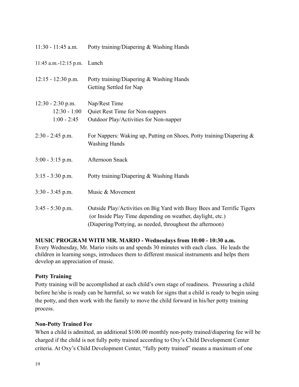| $11:30 - 11:45$ a.m.                                   | Potty training/Diapering & Washing Hands                                                                                                                                                          |
|--------------------------------------------------------|---------------------------------------------------------------------------------------------------------------------------------------------------------------------------------------------------|
| $11:45$ a.m.-12:15 p.m.                                | Lunch                                                                                                                                                                                             |
| $12:15 - 12:30$ p.m.                                   | Potty training/Diapering & Washing Hands<br>Getting Settled for Nap                                                                                                                               |
| $12:30 - 2:30$ p.m.<br>$12:30 - 1:00$<br>$1:00 - 2:45$ | Nap/Rest Time<br>Quiet Rest Time for Non-nappers<br>Outdoor Play/Activities for Non-napper                                                                                                        |
| $2:30 - 2:45$ p.m.                                     | For Nappers: Waking up, Putting on Shoes, Potty training/Diapering $\&$<br><b>Washing Hands</b>                                                                                                   |
| $3:00 - 3:15$ p.m.                                     | Afternoon Snack                                                                                                                                                                                   |
| $3:15 - 3:30$ p.m.                                     | Potty training/Diapering & Washing Hands                                                                                                                                                          |
| $3:30 - 3:45$ p.m.                                     | Music & Movement                                                                                                                                                                                  |
| $3:45 - 5:30$ p.m.                                     | Outside Play/Activities on Big Yard with Busy Bees and Terrific Tigers<br>(or Inside Play Time depending on weather, daylight, etc.)<br>(Diapering/Pottying, as needed, throughout the afternoon) |

#### **MUSIC PROGRAM WITH MR. MARIO - Wednesdays from 10:00 - 10:30 a.m.**

Every Wednesday, Mr. Mario visits us and spends 30 minutes with each class. He leads the children in learning songs, introduces them to different musical instruments and helps them develop an appreciation of music.

#### **Potty Training**

Potty training will be accomplished at each child's own stage of readiness. Pressuring a child before he/she is ready can be harmful, so we watch for signs that a child is ready to begin using the potty, and then work with the family to move the child forward in his/her potty training process.

#### **Non-Potty Trained Fee**

When a child is admitted, an additional \$100.00 monthly non-potty trained/diapering fee will be charged if the child is not fully potty trained according to Oxy's Child Development Center criteria. At Oxy's Child Development Center, "fully potty trained" means a maximum of one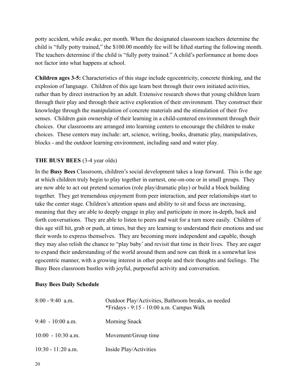potty accident, while awake, per month. When the designated classroom teachers determine the child is "fully potty trained," the \$100.00 monthly fee will be lifted starting the following month. The teachers determine if the child is "fully potty trained." A child's performance at home does not factor into what happens at school.

**Children ages 3-5:** Characteristics of this stage include egocentricity, concrete thinking, and the explosion of language. Children of this age learn best through their own initiated activities, rather than by direct instruction by an adult. Extensive research shows that young children learn through their play and through their active exploration of their environment. They construct their knowledge through the manipulation of concrete materials and the stimulation of their five senses. Children gain ownership of their learning in a child-centered environment through their choices. Our classrooms are arranged into learning centers to encourage the children to make choices. These centers may include: art, science, writing, books, dramatic play, manipulatives, blocks - and the outdoor learning environment, including sand and water play.

#### **THE BUSY BEES** (3-4 year olds)

In the **Busy Bees** Classroom, children's social development takes a leap forward. This is the age at which children truly begin to play together in earnest, one-on-one or in small groups. They are now able to act out pretend scenarios (role play/dramatic play) or build a block building together. They get tremendous enjoyment from peer interaction, and peer relationships start to take the center stage. Children's attention spans and ability to sit and focus are increasing, meaning that they are able to deeply engage in play and participate in more in-depth, back and forth conversations. They are able to listen to peers and wait for a turn more easily. Children of this age still hit, grab or push, at times, but they are learning to understand their emotions and use their words to express themselves. They are becoming more independent and capable, though they may also relish the chance to "play baby' and revisit that time in their lives. They are eager to expand their understanding of the world around them and now can think in a somewhat less egocentric manner, with a growing interest in other people and their thoughts and feelings. The Busy Bees classroom bustles with joyful, purposeful activity and conversation.

#### **Busy Bees Daily Schedule**

| $8:00 - 9:40$ a.m.   | Outdoor Play/Activities, Bathroom breaks, as needed<br>*Fridays - $9:15$ - 10:00 a.m. Campus Walk |
|----------------------|---------------------------------------------------------------------------------------------------|
| $9:40 - 10:00$ a.m.  | Morning Snack                                                                                     |
| $10:00 - 10:30$ a.m. | Movement/Group time                                                                               |
| $10:30 - 11:20$ a.m. | Inside Play/Activities                                                                            |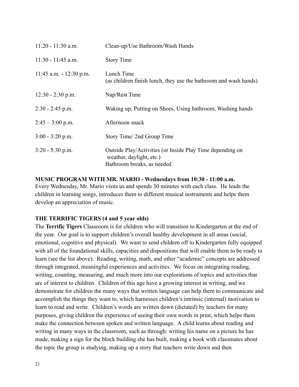| $11:20 - 11:30$ a.m.       | Clean-up/Use Bathroom/Wash Hands                                                                                    |
|----------------------------|---------------------------------------------------------------------------------------------------------------------|
| 11:30 - 11:45 a.m.         | <b>Story Time</b>                                                                                                   |
| $11:45$ a.m. $-12:30$ p.m. | Lunch Time<br>(as children finish lunch, they use the bathroom and wash hands)                                      |
| $12:30 - 2:30$ p.m.        | Nap/Rest Time                                                                                                       |
| $2:30 - 2:45$ p.m.         | Waking up, Putting on Shoes, Using bathroom, Washing hands                                                          |
| $2:45 - 3:00$ p.m.         | Afternoon snack                                                                                                     |
| $3:00 - 3:20$ p.m.         | Story Time/2nd Group Time                                                                                           |
| $3:20 - 5:30$ p.m.         | Outside Play/Activities (or Inside Play Time depending on<br>weather, daylight, etc.)<br>Bathroom breaks, as needed |

**MUSIC PROGRAM WITH MR. MARIO - Wednesdays from 10:30 - 11:00 a.m.** Every Wednesday, Mr. Mario visits us and spends 30 minutes with each class. He leads the children in learning songs, introduces them to different musical instruments and helps them develop an appreciation of music.

#### **THE TERRIFIC TIGERS (4 and 5 year olds)**

The **Terrific Tigers** Classroom is for children who will transition to Kindergarten at the end of the year. Our goal is to support children's overall healthy development in all areas (social, emotional, cognitive and physical). We want to send children off to Kindergarten fully equipped with all of the foundational skills, capacities and dispositions that will enable them to be ready to learn (see the list above). Reading, writing, math, and other "academic" concepts are addressed through integrated, meaningful experiences and activities. We focus on integrating reading, writing, counting, measuring, and much more into our explorations of topics and activities that are of interest to children. Children of this age have a growing interest in writing, and we demonstrate for children the many ways that written language can help them to communicate and accomplish the things they want to, which harnesses children's intrinsic (internal) motivation to learn to read and write. Children's words are written down (dictated) by teachers for many purposes, giving children the experience of seeing their own words in print, which helps them make the connection between spoken and written language. A child learns about reading and writing in many ways in the classroom, such as through: writing his name on a picture he has made, making a sign for the block building she has built, making a book with classmates about the topic the group is studying, making up a story that teachers write down and then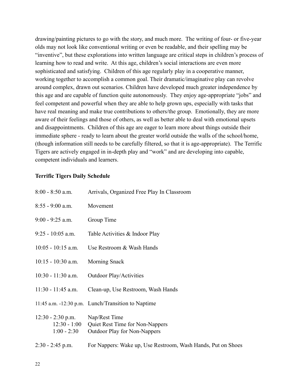drawing/painting pictures to go with the story, and much more. The writing of four- or five-year olds may not look like conventional writing or even be readable, and their spelling may be "inventive", but these explorations into written language are critical steps in children's process of learning how to read and write. At this age, children's social interactions are even more sophisticated and satisfying. Children of this age regularly play in a cooperative manner, working together to accomplish a common goal. Their dramatic/imaginative play can revolve around complex, drawn out scenarios. Children have developed much greater independence by this age and are capable of function quite autonomously. They enjoy age-appropriate "jobs" and feel competent and powerful when they are able to help grown ups, especially with tasks that have real meaning and make true contributions to others/the group. Emotionally, they are more aware of their feelings and those of others, as well as better able to deal with emotional upsets and disappointments. Children of this age are eager to learn more about things outside their immediate sphere - ready to learn about the greater world outside the walls of the school/home, (though information still needs to be carefully filtered, so that it is age-appropriate). The Terrific Tigers are actively engaged in in-depth play and "work" and are developing into capable, competent individuals and learners.

#### **Terrific Tigers Daily Schedule**

| $8:00 - 8:50$ a.m.                                     | Arrivals, Organized Free Play In Classroom                                              |
|--------------------------------------------------------|-----------------------------------------------------------------------------------------|
| $8:55 - 9:00$ a.m.                                     | Movement                                                                                |
| $9:00 - 9:25$ a.m.                                     | Group Time                                                                              |
| $9:25 - 10:05$ a.m.                                    | Table Activities & Indoor Play                                                          |
| $10:05 - 10:15$ a.m.                                   | Use Restroom & Wash Hands                                                               |
| $10:15 - 10:30$ a.m.                                   | <b>Morning Snack</b>                                                                    |
| $10:30 - 11:30$ a.m.                                   | <b>Outdoor Play/Activities</b>                                                          |
| $11:30 - 11:45$ a.m.                                   | Clean-up, Use Restroom, Wash Hands                                                      |
|                                                        | 11:45 a.m. -12:30 p.m. Lunch/Transition to Naptime                                      |
| $12:30 - 2:30$ p.m.<br>$12:30 - 1:00$<br>$1:00 - 2:30$ | Nap/Rest Time<br>Quiet Rest Time for Non-Nappers<br><b>Outdoor Play for Non-Nappers</b> |
| $2:30 - 2:45$ p.m.                                     | For Nappers: Wake up, Use Restroom, Wash Hands, Put on Shoes                            |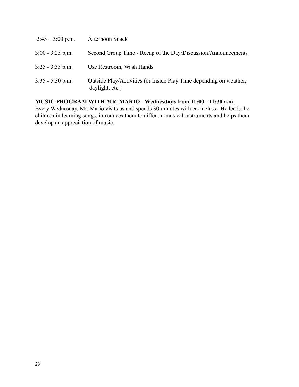| $2:45 - 3:00$ p.m. | Afternoon Snack                                                                       |
|--------------------|---------------------------------------------------------------------------------------|
| $3:00 - 3:25$ p.m. | Second Group Time - Recap of the Day/Discussion/Announcements                         |
| $3:25 - 3:35$ p.m. | Use Restroom, Wash Hands                                                              |
| $3:35 - 5:30$ p.m. | Outside Play/Activities (or Inside Play Time depending on weather,<br>daylight, etc.) |

# **MUSIC PROGRAM WITH MR. MARIO - Wednesdays from 11:00 - 11:30 a.m.**

Every Wednesday, Mr. Mario visits us and spends 30 minutes with each class. He leads the children in learning songs, introduces them to different musical instruments and helps them develop an appreciation of music.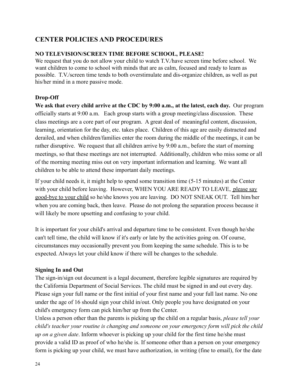# **CENTER POLICIES AND PROCEDURES**

#### **NO TELEVISION/SCREEN TIME BEFORE SCHOOL, PLEASE!**

We request that you do not allow your child to watch T.V./have screen time before school. We want children to come to school with minds that are as calm, focused and ready to learn as possible. T.V./screen time tends to both overstimulate and dis-organize children, as well as put his/her mind in a more passive mode.

#### **Drop-Off**

**We ask that every child arrive at the CDC by 9:00 a.m., at the latest, each day.** Our program officially starts at 9:00 a.m. Each group starts with a group meeting/class discussion. These class meetings are a core part of our program. A great deal of meaningful content, discussion, learning, orientation for the day, etc. takes place. Children of this age are easily distracted and derailed, and when children/families enter the room during the middle of the meetings, it can be rather disruptive. We request that all children arrive by 9:00 a.m., before the start of morning meetings, so that these meetings are not interrupted. Additionally, children who miss some or all of the morning meeting miss out on very important information and learning. We want all children to be able to attend these important daily meetings.

If your child needs it, it might help to spend some transition time (5-15 minutes) at the Center with your child before leaving. However, WHEN YOU ARE READY TO LEAVE, please say good-bye to your child so he/she knows you are leaving. DO NOT SNEAK OUT. Tell him/her when you are coming back, then leave. Please do not prolong the separation process because it will likely be more upsetting and confusing to your child.

It is important for your child's arrival and departure time to be consistent. Even though he/she can't tell time, the child will know if it's early or late by the activities going on. Of course, circumstances may occasionally prevent you from keeping the same schedule. This is to be expected. Always let your child know if there will be changes to the schedule.

#### **Signing In and Out**

The sign-in/sign out document is a legal document, therefore legible signatures are required by the California Department of Social Services. The child must be signed in and out every day. Please sign your full name or the first initial of your first name and your full last name. No one under the age of 16 should sign your child in/out. Only people you have designated on your child's emergency form can pick him/her up from the Center.

Unless a person other than the parents is picking up the child on a regular basis, *please tell your child's teacher your routine is changing and someone on your emergency form will pick the child up on a given date*. Inform whoever is picking up your child for the first time he/she must provide a valid ID as proof of who he/she is. If someone other than a person on your emergency form is picking up your child, we must have authorization, in writing (fine to email), for the date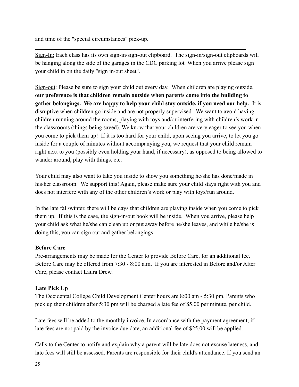and time of the "special circumstances" pick-up.

Sign-In: Each class has its own sign-in/sign-out clipboard. The sign-in/sign-out clipboards will be hanging along the side of the garages in the CDC parking lot When you arrive please sign your child in on the daily "sign in/out sheet".

Sign-out: Please be sure to sign your child out every day. When children are playing outside, **our preference is that children remain outside when parents come into the building to gather belongings. We are happy to help your child stay outside, if you need our help.** It is disruptive when children go inside and are not properly supervised. We want to avoid having children running around the rooms, playing with toys and/or interfering with children's work in the classrooms (things being saved). We know that your children are very eager to see you when you come to pick them up! If it is too hard for your child, upon seeing you arrive, to let you go inside for a couple of minutes without accompanying you, we request that your child remain right next to you (possibly even holding your hand, if necessary), as opposed to being allowed to wander around, play with things, etc.

Your child may also want to take you inside to show you something he/she has done/made in his/her classroom. We support this! Again, please make sure your child stays right with you and does not interfere with any of the other children's work or play with toys/run around.

In the late fall/winter, there will be days that children are playing inside when you come to pick them up. If this is the case, the sign-in/out book will be inside. When you arrive, please help your child ask what he/she can clean up or put away before he/she leaves, and while he/she is doing this, you can sign out and gather belongings.

# **Before Care**

Pre-arrangements may be made for the Center to provide Before Care, for an additional fee. Before Care may be offered from 7:30 - 8:00 a.m. If you are interested in Before and/or After Care, please contact Laura Drew.

# **Late Pick Up**

The Occidental College Child Development Center hours are 8:00 am - 5:30 pm. Parents who pick up their children after 5:30 pm will be charged a late fee of \$5.00 per minute, per child.

Late fees will be added to the monthly invoice. In accordance with the payment agreement, if late fees are not paid by the invoice due date, an additional fee of \$25.00 will be applied.

Calls to the Center to notify and explain why a parent will be late does not excuse lateness, and late fees will still be assessed. Parents are responsible for their child's attendance. If you send an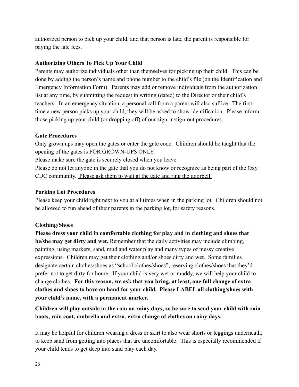authorized person to pick up your child, and that person is late, the parent is responsible for paying the late fees.

#### **Authorizing Others To Pick Up Your Child**

Parents may authorize individuals other than themselves for picking up their child. This can be done by adding the person's name and phone number to the child's file (on the Identification and Emergency Information Form). Parents may add or remove individuals from the authorization list at any time, by submitting the request in writing (dated) to the Director or their child's teachers. In an emergency situation, a personal call from a parent will also suffice. The first time a new person picks up your child, they will be asked to show identification. Please inform those picking up your child (or dropping off) of our sign-in/sign-out procedures.

#### **Gate Procedures**

Only grown ups may open the gates or enter the gate code. Children should be taught that the opening of the gates is FOR GROWN-UPS ONLY.

Please make sure the gate is securely closed when you leave.

Please do not let anyone in the gate that you do not know or recognize as being part of the Oxy CDC community. Please ask them to wait at the gate and ring the doorbell.

#### **Parking Lot Procedures**

Please keep your child right next to you at all times when in the parking lot. Children should not be allowed to run ahead of their parents in the parking lot, for safety reasons.

# **Clothing/Shoes**

**Please dress your child in comfortable clothing for play and in clothing and shoes that he/she may get dirty and wet.** Remember that the daily activities may include climbing, painting, using markers, sand, mud and water play and many types of messy creative expressions. Children may get their clothing and/or shoes dirty and wet. Some families designate certain clothes/shoes as "school clothes/shoes", reserving clothes/shoes that they'd prefer not to get dirty for home. If your child is very wet or muddy, we will help your child to change clothes. **For this reason, we ask that you bring, at least, one full change of extra clothes and shoes to have on hand for your child. Please LABEL all clothing/shoes with your child's name, with a permanent marker.**

**Children will play outside in the rain on rainy days, so be sure to send your child with rain boots, rain coat, umbrella and extra, extra change of clothes on rainy days.**

It may be helpful for children wearing a dress or skirt to also wear shorts or leggings underneath, to keep sand from getting into places that are uncomfortable. This is especially recommended if your child tends to get deep into sand play each day.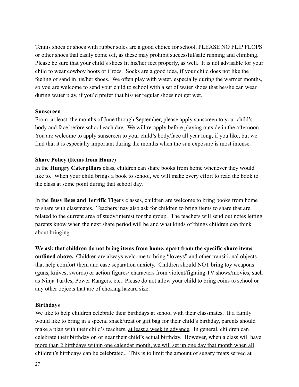Tennis shoes or shoes with rubber soles are a good choice for school. PLEASE NO FLIP FLOPS or other shoes that easily come off, as these may prohibit successful/safe running and climbing. Please be sure that your child's shoes fit his/her feet properly, as well. It is not advisable for your child to wear cowboy boots or Crocs. Socks are a good idea, if your child does not like the feeling of sand in his/her shoes. We often play with water, especially during the warmer months, so you are welcome to send your child to school with a set of water shoes that he/she can wear during water play, if you'd prefer that his/her regular shoes not get wet.

#### **Sunscreen**

From, at least, the months of June through September, please apply sunscreen to your child's body and face before school each day. We will re-apply before playing outside in the afternoon. You are welcome to apply sunscreen to your child's body/face all year long, if you like, but we find that it is especially important during the months when the sun exposure is most intense.

#### **Share Policy (Items from Home)**

In the **Hungry Caterpillars** class, children can share books from home whenever they would like to. When your child brings a book to school, we will make every effort to read the book to the class at some point during that school day.

In the **Busy Bees and Terrific Tigers** classes, children are welcome to bring books from home to share with classmates. Teachers may also ask for children to bring items to share that are related to the current area of study/interest for the group. The teachers will send out notes letting parents know when the next share period will be and what kinds of things children can think about bringing.

**We ask that children do not bring items from home, apart from the specific share items outlined above.** Children are always welcome to bring "loveys" and other transitional objects that help comfort them and ease separation anxiety. Children should NOT bring toy weapons (guns, knives, swords) or action figures/ characters from violent/fighting TV shows/movies, such as Ninja Turtles, Power Rangers, etc. Please do not allow your child to bring coins to school or any other objects that are of choking hazard size.

#### **Birthdays**

We like to help children celebrate their birthdays at school with their classmates. If a family would like to bring in a special snack/treat or gift bag for their child's birthday, parents should make a plan with their child's teachers, at least a week in advance. In general, children can celebrate their birthday on or near their child's actual birthday. However, when a class will have more than 2 birthdays within one calendar month, we will set up one day that month when all children's birthdays can be celebrated.. This is to limit the amount of sugary treats served at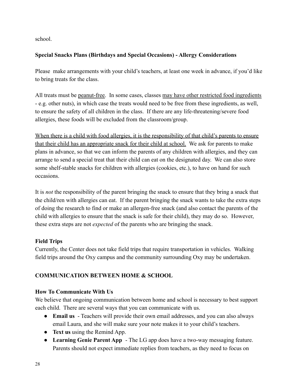school.

# **Special Snacks Plans (Birthdays and Special Occasions) - Allergy Considerations**

Please make arrangements with your child's teachers, at least one week in advance, if you'd like to bring treats for the class.

All treats must be peanut-free. In some cases, classes may have other restricted food ingredients - e.g. other nuts), in which case the treats would need to be free from these ingredients, as well, to ensure the safety of all children in the class. If there are any life-threatening/severe food allergies, these foods will be excluded from the classroom/group.

When there is a child with food allergies, it is the responsibility of that child's parents to ensure that their child has an appropriate snack for their child at school. We ask for parents to make plans in advance, so that we can inform the parents of any children with allergies, and they can arrange to send a special treat that their child can eat on the designated day. We can also store some shelf-stable snacks for children with allergies (cookies, etc.), to have on hand for such occasions.

It is *not* the responsibility of the parent bringing the snack to ensure that they bring a snack that the child/ren with allergies can eat. If the parent bringing the snack wants to take the extra steps of doing the research to find or make an allergen-free snack (and also contact the parents of the child with allergies to ensure that the snack is safe for their child), they may do so. However, these extra steps are not *expected* of the parents who are bringing the snack.

# **Field Trips**

Currently, the Center does not take field trips that require transportation in vehicles. Walking field trips around the Oxy campus and the community surrounding Oxy may be undertaken.

# **COMMUNICATION BETWEEN HOME & SCHOOL**

# **How To Communicate With Us**

We believe that ongoing communication between home and school is necessary to best support each child. There are several ways that you can communicate with us.

- **Email us** Teachers will provide their own email addresses, and you can also always email Laura, and she will make sure your note makes it to your child's teachers.
- **Text us** using the Remind App.
- **Learning Genie Parent App** The LG app does have a two-way messaging feature. Parents should not expect immediate replies from teachers, as they need to focus on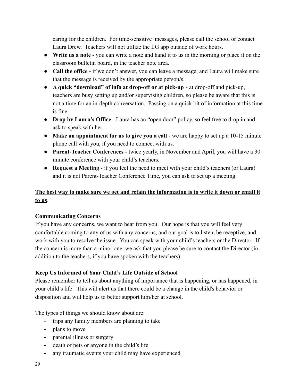caring for the children. For time-sensitive messages, please call the school or contact Laura Drew. Teachers will not utilize the LG app outside of work hours.

- **Write us a note** you can write a note and hand it to us in the morning or place it on the classroom bulletin board, in the teacher note area.
- **Call the office** if we don't answer, you can leave a message, and Laura will make sure that the message is received by the appropriate person/s.
- **A quick "download" of info at drop-off or at pick-up** at drop-off and pick-up, teachers are busy setting up and/or supervising children, so please be aware that this is not a time for an in-depth conversation. Passing on a quick bit of information at this time is fine.
- **Drop by Laura's Office** Laura has an "open door" policy, so feel free to drop in and ask to speak with her.
- **Make an appointment for us to give you a call** we are happy to set up a 10-15 minute phone call with you, if you need to connect with us.
- **Parent-Teacher Conferences** twice yearly, in November and April, you will have a 30 minute conference with your child's teachers.
- **Request a Meeting** if you feel the need to meet with your child's teachers (or Laura) and it is not Parent-Teacher Conference Time, you can ask to set up a meeting.

# **The best way to make sure we get and retain the information is to write it down or email it to us**.

# **Communicating Concerns**

If you have any concerns, we want to hear from you. Our hope is that you will feel very comfortable coming to any of us with any concerns, and our goal is to listen, be receptive, and work with you to resolve the issue. You can speak with your child's teachers or the Director. If the concern is more than a minor one, we ask that you please be sure to contact the Director (in addition to the teachers, if you have spoken with the teachers).

# **Keep Us Informed of Your Child's Life Outside of School**

Please remember to tell us about anything of importance that is happening, or has happened, in your child's life. This will alert us that there could be a change in the child's behavior or disposition and will help us to better support him/her at school.

The types of things we should know about are:

- trips any family members are planning to take
- plans to move
- parental illness or surgery
- death of pets or anyone in the child's life
- any traumatic events your child may have experienced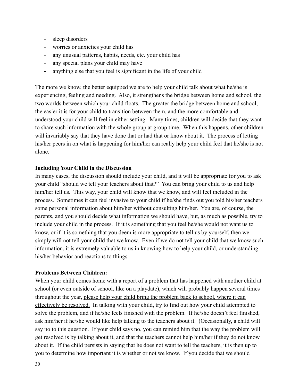- sleep disorders
- worries or anxieties your child has
- any unusual patterns, habits, needs, etc. your child has
- any special plans your child may have
- anything else that you feel is significant in the life of your child

The more we know, the better equipped we are to help your child talk about what he/she is experiencing, feeling and needing. Also, it strengthens the bridge between home and school, the two worlds between which your child floats. The greater the bridge between home and school, the easier it is for your child to transition between them, and the more comfortable and understood your child will feel in either setting. Many times, children will decide that they want to share such information with the whole group at group time. When this happens, other children will invariably say that they have done that or had that or know about it. The process of letting his/her peers in on what is happening for him/her can really help your child feel that he/she is not alone.

#### **Including Your Child in the Discussion**

In many cases, the discussion should include your child, and it will be appropriate for you to ask your child "should we tell your teachers about that?" You can bring your child to us and help him/her tell us. This way, your child will know that we know, and will feel included in the process. Sometimes it can feel invasive to your child if he/she finds out you told his/her teachers some personal information about him/her without consulting him/her. You are, of course, the parents, and you should decide what information we should have, but, as much as possible, try to include your child in the process. If it is something that you feel he/she would not want us to know, or if it is something that you deem is more appropriate to tell us by yourself, then we simply will not tell your child that we know. Even if we do not tell your child that we know such information, it is extremely valuable to us in knowing how to help your child, or understanding his/her behavior and reactions to things.

#### **Problems Between Children:**

When your child comes home with a report of a problem that has happened with another child at school (or even outside of school, like on a playdate), which will probably happen several times throughout the year, please help your child bring the problem back to school, where it can effectively be resolved. In talking with your child, try to find out how your child attempted to solve the problem, and if he/she feels finished with the problem. If he/she doesn't feel finished, ask him/her if he/she would like help talking to the teachers about it. (Occasionally, a child will say no to this question. If your child says no, you can remind him that the way the problem will get resolved is by talking about it, and that the teachers cannot help him/her if they do not know about it. If the child persists in saying that he does not want to tell the teachers, it is then up to you to determine how important it is whether or not we know. If you decide that we should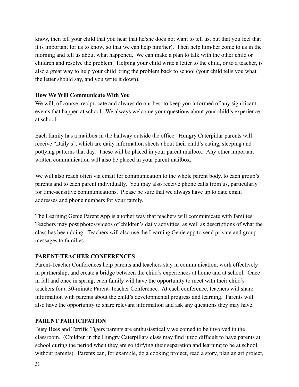know, then tell your child that you hear that he/she does not want to tell us, but that you feel that it is important for us to know, so that we can help him/her). Then help him/her come to us in the morning and tell us about what happened. We can make a plan to talk with the other child or children and resolve the problem. Helping your child write a letter to the child, or to a teacher, is also a great way to help your child bring the problem back to school (your child tells you what the letter should say, and you write it down).

#### **How We Will Communicate With You**

We will, of course, reciprocate and always do our best to keep you informed of any significant events that happen at school. We always welcome your questions about your child's experience at school.

Each family has a mailbox in the hallway outside the office. Hungry Caterpillar parents will receive "Daily's", which are daily information sheets about their child's eating, sleeping and pottying patterns that day. These will be placed in your parent mailbox. Any other important written communication will also be placed in your parent mailbox.

We will also reach often via email for communication to the whole parent body, to each group's parents and to each parent individually. You may also receive phone calls from us, particularly for time-sensitive communications. Please be sure that we always have up to date email addresses and phone numbers for your family.

The Learning Genie Parent App is another way that teachers will communicate with families. Teachers may post photos/videos of children's daily activities, as well as descriptions of what the class has been doing. Teachers will also use the Learning Genie app to send private and group messages to families.

# **PARENT-TEACHER CONFERENCES**

Parent-Teacher Conferences help parents and teachers stay in communication, work effectively in partnership, and create a bridge between the child's experiences at home and at school. Once in fall and once in spring, each family will have the opportunity to meet with their child's teachers for a 30-minute Parent-Teacher Conference. At each conference, teachers will share information with parents about the child's developmental progress and learning. Parents will also have the opportunity to share relevant information and ask any questions they may have.

#### **PARENT PARTICIPATION**

Busy Bees and Terrific Tigers parents are enthusiastically welcomed to be involved in the classroom. (Children in the Hungry Caterpillars class may find it too difficult to have parents at school during the period when they are solidifying their separation and learning to be at school without parents). Parents can, for example, do a cooking project, read a story, plan an art project,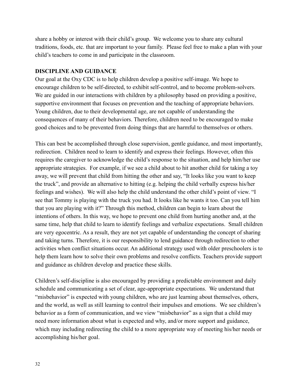share a hobby or interest with their child's group. We welcome you to share any cultural traditions, foods, etc. that are important to your family. Please feel free to make a plan with your child's teachers to come in and participate in the classroom.

#### **DISCIPLINE AND GUIDANCE**

Our goal at the Oxy CDC is to help children develop a positive self-image. We hope to encourage children to be self-directed, to exhibit self-control, and to become problem-solvers. We are guided in our interactions with children by a philosophy based on providing a positive, supportive environment that focuses on prevention and the teaching of appropriate behaviors. Young children, due to their developmental age, are not capable of understanding the consequences of many of their behaviors. Therefore, children need to be encouraged to make good choices and to be prevented from doing things that are harmful to themselves or others.

This can best be accomplished through close supervision, gentle guidance, and most importantly, redirection. Children need to learn to identify and express their feelings. However, often this requires the caregiver to acknowledge the child's response to the situation, and help him/her use appropriate strategies. For example, if we see a child about to hit another child for taking a toy away, we will prevent that child from hitting the other and say, "It looks like you want to keep the truck", and provide an alternative to hitting (e.g. helping the child verbally express his/her feelings and wishes). We will also help the child understand the other child's point of view. "I see that Tommy is playing with the truck you had. It looks like he wants it too. Can you tell him that you are playing with it?" Through this method, children can begin to learn about the intentions of others. In this way, we hope to prevent one child from hurting another and, at the same time, help that child to learn to identify feelings and verbalize expectations. Small children are very egocentric. As a result, they are not yet capable of understanding the concept of sharing and taking turns. Therefore, it is our responsibility to lend guidance through redirection to other activities when conflict situations occur. An additional strategy used with older preschoolers is to help them learn how to solve their own problems and resolve conflicts. Teachers provide support and guidance as children develop and practice these skills.

Children's self-discipline is also encouraged by providing a predictable environment and daily schedule and communicating a set of clear, age-appropriate expectations. We understand that "misbehavior" is expected with young children, who are just learning about themselves, others, and the world, as well as still learning to control their impulses and emotions. We see children's behavior as a form of communication, and we view "misbehavior" as a sign that a child may need more information about what is expected and why, and/or more support and guidance, which may including redirecting the child to a more appropriate way of meeting his/her needs or accomplishing his/her goal.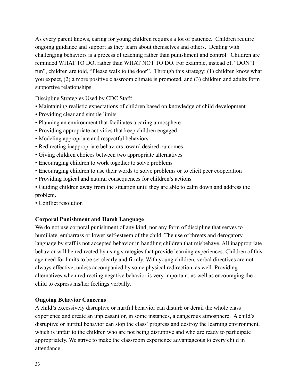As every parent knows, caring for young children requires a lot of patience. Children require ongoing guidance and support as they learn about themselves and others. Dealing with challenging behaviors is a process of teaching rather than punishment and control. Children are reminded WHAT TO DO, rather than WHAT NOT TO DO. For example, instead of, "DON'T run", children are told, "Please walk to the door". Through this strategy: (1) children know what you expect, (2) a more positive classroom climate is promoted, and (3) children and adults form supportive relationships.

Discipline Strategies Used by CDC Staff:

- Maintaining realistic expectations of children based on knowledge of child development
- Providing clear and simple limits
- Planning an environment that facilitates a caring atmosphere
- Providing appropriate activities that keep children engaged
- Modeling appropriate and respectful behaviors
- Redirecting inappropriate behaviors toward desired outcomes
- Giving children choices between two appropriate alternatives
- Encouraging children to work together to solve problems
- Encouraging children to use their words to solve problems or to elicit peer cooperation
- Providing logical and natural consequences for children's actions
- Guiding children away from the situation until they are able to calm down and address the problem.
- Conflict resolution

# **Corporal Punishment and Harsh Language**

We do not use corporal punishment of any kind, nor any form of discipline that serves to humiliate, embarrass or lower self-esteem of the child. The use of threats and derogatory language by staff is not accepted behavior in handling children that misbehave. All inappropriate behavior will be redirected by using strategies that provide learning experiences. Children of this age need for limits to be set clearly and firmly. With young children, verbal directives are not always effective, unless accompanied by some physical redirection, as well. Providing alternatives when redirecting negative behavior is very important, as well as encouraging the child to express his/her feelings verbally.

#### **Ongoing Behavior Concerns**

A child's excessively disruptive or hurtful behavior can disturb or derail the whole class' experience and create an unpleasant or, in some instances, a dangerous atmosphere. A child's disruptive or hurtful behavior can stop the class' progress and destroy the learning environment, which is unfair to the children who are not being disruptive and who are ready to participate appropriately. We strive to make the classroom experience advantageous to every child in attendance.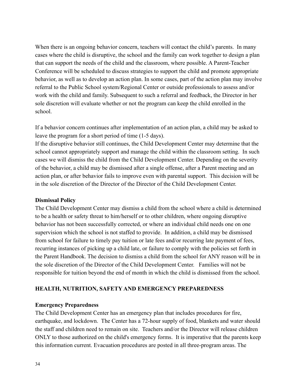When there is an ongoing behavior concern, teachers will contact the child's parents. In many cases where the child is disruptive, the school and the family can work together to design a plan that can support the needs of the child and the classroom, where possible. A Parent-Teacher Conference will be scheduled to discuss strategies to support the child and promote appropriate behavior, as well as to develop an action plan. In some cases, part of the action plan may involve referral to the Public School system/Regional Center or outside professionals to assess and/or work with the child and family. Subsequent to such a referral and feedback, the Director in her sole discretion will evaluate whether or not the program can keep the child enrolled in the school.

If a behavior concern continues after implementation of an action plan, a child may be asked to leave the program for a short period of time (1-5 days).

If the disruptive behavior still continues, the Child Development Center may determine that the school cannot appropriately support and manage the child within the classroom setting. In such cases we will dismiss the child from the Child Development Center. Depending on the severity of the behavior, a child may be dismissed after a single offense, after a Parent meeting and an action plan, or after behavior fails to improve even with parental support. This decision will be in the sole discretion of the Director of the Director of the Child Development Center.

#### **Dismissal Policy**

The Child Development Center may dismiss a child from the school where a child is determined to be a health or safety threat to him/herself or to other children, where ongoing disruptive behavior has not been successfully corrected, or where an individual child needs one on one supervision which the school is not staffed to provide. In addition, a child may be dismissed from school for failure to timely pay tuition or late fees and/or recurring late payment of fees, recurring instances of picking up a child late, or failure to comply with the policies set forth in the Parent Handbook. The decision to dismiss a child from the school for ANY reason will be in the sole discretion of the Director of the Child Development Center. Families will not be responsible for tuition beyond the end of month in which the child is dismissed from the school.

#### **HEALTH, NUTRITION, SAFETY AND EMERGENCY PREPAREDNESS**

#### **Emergency Preparedness**

The Child Development Center has an emergency plan that includes procedures for fire, earthquake, and lockdown. The Center has a 72-hour supply of food, blankets and water should the staff and children need to remain on site. Teachers and/or the Director will release children ONLY to those authorized on the child's emergency forms. It is imperative that the parents keep this information current. Evacuation procedures are posted in all three-program areas. The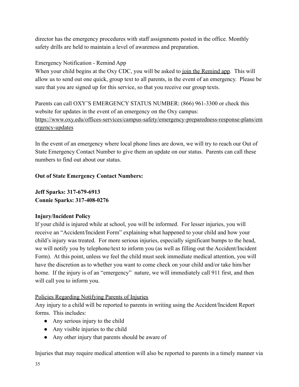director has the emergency procedures with staff assignments posted in the office. Monthly safety drills are held to maintain a level of awareness and preparation.

# Emergency Notification - Remind App

When your child begins at the Oxy CDC, you will be asked to join the Remind app. This will allow us to send out one quick, group text to all parents, in the event of an emergency. Please be sure that you are signed up for this service, so that you receive our group texts.

Parents can call OXY'S EMERGENCY STATUS NUMBER: (866) 961-3300 or check this website for updates in the event of an emergency on the Oxy campus: [https://www.oxy.edu/offices-services/campus-safety/emergency-preparedness-response-plans/em](https://www.oxy.edu/offices-services/campus-safety/emergency-preparedness-response-plans/emergency-updates) [ergency-updates](https://www.oxy.edu/offices-services/campus-safety/emergency-preparedness-response-plans/emergency-updates)

In the event of an emergency where local phone lines are down, we will try to reach our Out of State Emergency Contact Number to give them an update on our status. Parents can call these numbers to find out about our status.

# **Out of State Emergency Contact Numbers:**

**Jeff Sparks: 317-679-6913 Connie Sparks: 317-408-0276**

# **Injury/Incident Policy**

If your child is injured while at school, you will be informed. For lesser injuries, you will receive an "Accident/Incident Form" explaining what happened to your child and how your child's injury was treated. For more serious injuries, especially significant bumps to the head, we will notify you by telephone/text to inform you (as well as filling out the Accident/Incident Form). At this point, unless we feel the child must seek immediate medical attention, you will have the discretion as to whether you want to come check on your child and/or take him/her home. If the injury is of an "emergency" nature, we will immediately call 911 first, and then will call you to inform you.

# Policies Regarding Notifying Parents of Injuries

Any injury to a child will be reported to parents in writing using the Accident/Incident Report forms. This includes:

- Any serious injury to the child
- Any visible injuries to the child
- Any other injury that parents should be aware of

Injuries that may require medical attention will also be reported to parents in a timely manner via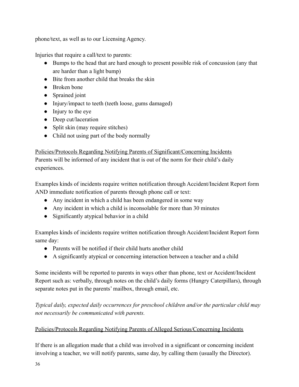phone/text, as well as to our Licensing Agency.

Injuries that require a call/text to parents:

- Bumps to the head that are hard enough to present possible risk of concussion (any that are harder than a light bump)
- Bite from another child that breaks the skin
- Broken bone
- Sprained joint
- Injury/impact to teeth (teeth loose, gums damaged)
- Injury to the eye
- Deep cut/laceration
- Split skin (may require stitches)
- Child not using part of the body normally

#### Policies/Protocols Regarding Notifying Parents of Significant/Concerning Incidents

Parents will be informed of any incident that is out of the norm for their child's daily experiences.

Examples kinds of incidents require written notification through Accident/Incident Report form AND immediate notification of parents through phone call or text:

- Any incident in which a child has been endangered in some way
- Any incident in which a child is inconsolable for more than 30 minutes
- Significantly atypical behavior in a child

Examples kinds of incidents require written notification through Accident/Incident Report form same day:

- Parents will be notified if their child hurts another child
- A significantly atypical or concerning interaction between a teacher and a child

Some incidents will be reported to parents in ways other than phone, text or Accident/Incident Report such as: verbally, through notes on the child's daily forms (Hungry Caterpillars), through separate notes put in the parents' mailbox, through email, etc.

*Typical daily, expected daily occurrences for preschool children and/or the particular child may not necessarily be communicated with parents.*

# Policies/Protocols Regarding Notifying Parents of Alleged Serious/Concerning Incidents

If there is an allegation made that a child was involved in a significant or concerning incident involving a teacher, we will notify parents, same day, by calling them (usually the Director).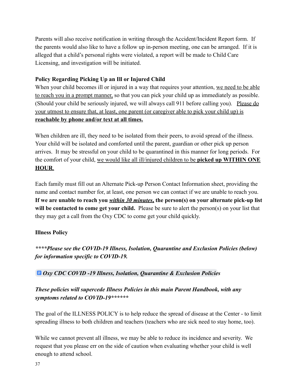Parents will also receive notification in writing through the Accident/Incident Report form. If the parents would also like to have a follow up in-person meeting, one can be arranged. If it is alleged that a child's personal rights were violated, a report will be made to Child Care Licensing, and investigation will be initiated.

# **Policy Regarding Picking Up an Ill or Injured Child**

When your child becomes ill or injured in a way that requires your attention, we need to be able to reach you in a prompt manner, so that you can pick your child up as immediately as possible. (Should your child be seriously injured, we will always call 911 before calling you). Please do your utmost to ensure that, at least, one parent (or caregiver able to pick your child up) is **reachable by phone and/or text at all times.**

When children are ill, they need to be isolated from their peers, to avoid spread of the illness. Your child will be isolated and comforted until the parent, guardian or other pick up person arrives. It may be stressful on your child to be quarantined in this manner for long periods. For the comfort of your child, we would like all ill/injured children to be **picked up WITHIN ONE HOUR**.

Each family must fill out an Alternate Pick-up Person Contact Information sheet, providing the name and contact number for, at least, one person we can contact if we are unable to reach you. **If we are unable to reach you** *within 30 minutes***, the person(s) on your alternate pick-up list** will be contacted to come get your child. Please be sure to alert the person(s) on your list that they may get a call from the Oxy CDC to come get your child quickly.

# **Illness Policy**

*\*\*\*\*Please see the COVID-19 Illness, Isolation, Quarantine and Exclusion Policies (below) for information specific to COVID-19.*

# *[Oxy CDC COVID -19 Illness, Isolation, Quarantine & Exclusion Policie](https://docs.google.com/document/d/1D-16j283EoMBsqRX6gH-xkm-oQ3KE4hcF8-SCuXnp0I/edit?usp=sharing)s*

# *These policies will supercede Illness Policies in this main Parent Handbook, with any symptoms related to COVID-19\*\*\*\*\*\**

The goal of the ILLNESS POLICY is to help reduce the spread of disease at the Center - to limit spreading illness to both children and teachers (teachers who are sick need to stay home, too).

While we cannot prevent all illness, we may be able to reduce its incidence and severity. We request that you please err on the side of caution when evaluating whether your child is well enough to attend school.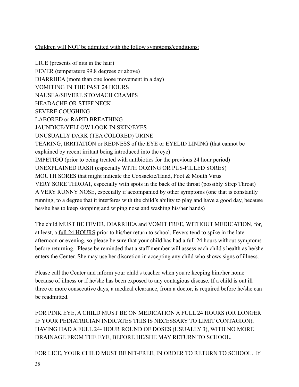# Children will NOT be admitted with the follow symptoms/conditions:

LICE (presents of nits in the hair) FEVER (temperature 99.8 degrees or above) DIARRHEA (more than one loose movement in a day) VOMITING IN THE PAST 24 HOURS NAUSEA/SEVERE STOMACH CRAMPS HEADACHE OR STIFF NECK SEVERE COUGHING LABORED or RAPID BREATHING JAUNDICE/YELLOW LOOK IN SKIN/EYES UNUSUALLY DARK (TEA COLORED) URINE TEARING, IRRITATION or REDNESS of the EYE or EYELID LINING (that cannot be explained by recent irritant being introduced into the eye) IMPETIGO (prior to being treated with antibiotics for the previous 24 hour period) UNEXPLAINED RASH (especially WITH OOZING OR PUS-FILLED SORES) MOUTH SORES that might indicate the Coxsackie/Hand, Foot & Mouth Virus VERY SORE THROAT, especially with spots in the back of the throat (possibly Strep Throat) A VERY RUNNY NOSE, especially if accompanied by other symptoms (one that is constantly running, to a degree that it interferes with the child's ability to play and have a good day, because he/she has to keep stopping and wiping nose and washing his/her hands)

The child MUST BE FEVER, DIARRHEA and VOMIT FREE, WITHOUT MEDICATION, for, at least, a full 24 HOURS prior to his/her return to school. Fevers tend to spike in the late afternoon or evening, so please be sure that your child has had a full 24 hours without symptoms before returning. Please be reminded that a staff member will assess each child's health as he/she enters the Center. She may use her discretion in accepting any child who shows signs of illness.

Please call the Center and inform your child's teacher when you're keeping him/her home because of illness or if he/she has been exposed to any contagious disease. If a child is out ill three or more consecutive days, a medical clearance, from a doctor, is required before he/she can be readmitted.

FOR PINK EYE, A CHILD MUST BE ON MEDICATION A FULL 24 HOURS (OR LONGER IF YOUR PEDIATRICIAN INDICATES THIS IS NECESSARY TO LIMIT CONTAGION), HAVING HAD A FULL 24- HOUR ROUND OF DOSES (USUALLY 3), WITH NO MORE DRAINAGE FROM THE EYE, BEFORE HE/SHE MAY RETURN TO SCHOOL.

FOR LICE, YOUR CHILD MUST BE NIT-FREE, IN ORDER TO RETURN TO SCHOOL. If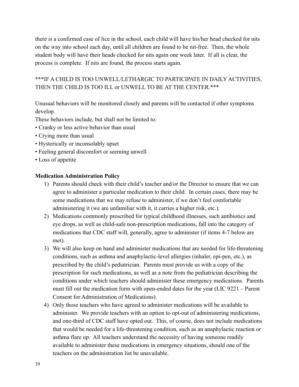there is a confirmed case of lice in the school, each child will have his/her head checked for nits on the way into school each day, until all children are found to be nit-free. Then, the whole student body will have their heads checked for nits again one week later. If all is clear, the process is complete. If nits are found, the process starts again.

# \*\*\*IF A CHILD IS TOO UNWELL/LETHARGIC TO PARTICIPATE IN DAILY ACTIVITIES, THEN THE CHILD IS TOO ILL or UNWELL TO BE AT THE CENTER.\*\*\*

Unusual behaviors will be monitored closely and parents will be contacted if other symptoms develop.

These behaviors include, but shall not be limited to:

- Cranky or less active behavior than usual
- Crying more than usual
- Hysterically or inconsolably upset
- Feeling general discomfort or seeming unwell
- Loss of appetite

#### **Medication Administration Policy**

- 1) Parents should check with their child's teacher and/or the Director to ensure that we can agree to administer a particular medication to their child. In certain cases, there may be some medications that we may refuse to administer, if we don't feel comfortable administering it (we are unfamiliar with it, it carries a higher risk, etc.).
- 2) Medications commonly prescribed for typical childhood illnesses, such antibiotics and eye drops, as well as child-safe non-prescription medications, fall into the category of medications that CDC staff will, generally, agree to administer (if items 4-7 below are met).
- 3) We will also keep on hand and administer medications that are needed for life-threatening conditions, such as asthma and anaphylactic-level allergies (inhaler, epi-pen, etc.), as prescribed by the child's pediatrician. Parents must provide us with a copy of the prescription for such medications, as well as a note from the pediatrician describing the conditions under which teachers should administer these emergency medications. Parents must fill out the medication form with open-ended dates for the year (LIC 9221 – Parent Consent for Administration of Medications).
- 4) Only those teachers who have agreed to administer medications will be available to administer. We provide teachers with an option to opt-out of administering medications, and one-third of CDC staff have opted out. This, of course, does not include medications that would be needed for a life-threatening condition, such as an anaphylactic reaction or asthma flare up. All teachers understand the necessity of having someone readily available to administer these medications in emergency situations, should one of the teachers on the administration list be unavailable.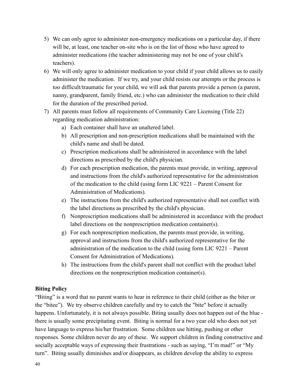- 5) We can only agree to administer non-emergency medications on a particular day, if there will be, at least, one teacher on-site who is on the list of those who have agreed to administer medications (the teacher administering may not be one of your child's teachers).
- 6) We will only agree to administer medication to your child if your child allows us to easily administer the medication. If we try, and your child resists our attempts or the process is too difficult/traumatic for your child, we will ask that parents provide a person (a parent, nanny, grandparent, family friend, etc.) who can administer the medication to their child for the duration of the prescribed period.
- 7) All parents must follow all requirements of Community Care Licensing (Title 22) regarding medication administration:
	- a) Each container shall have an unaltered label.
	- b) All prescription and non-prescription medications shall be maintained with the child's name and shall be dated.
	- c) Prescription medications shall be administered in accordance with the label directions as prescribed by the child's physician.
	- d) For each prescription medication, the parents must provide, in writing, approval and instructions from the child's authorized representative for the administration of the medication to the child (using form LIC 9221 – Parent Consent for Administration of Medications).
	- e) The instructions from the child's authorized representative shall not conflict with the label directions as prescribed by the child's physician.
	- f) Nonprescription medications shall be administered in accordance with the product label directions on the nonprescription medication container(s).
	- g) For each nonprescription medication, the parents must provide, in writing, approval and instructions from the child's authorized representative for the administration of the medication to the child (using form LIC 9221 – Parent Consent for Administration of Medications).
	- h) The instructions from the child's parent shall not conflict with the product label directions on the nonprescription medication container(s).

# **Biting Policy**

"Biting" is a word that no parent wants to hear in reference to their child (either as the biter or the "bitee"). We try observe children carefully and try to catch the "bite" before it actually happens. Unfortunately, it is not always possible. Biting usually does not happen out of the blue there is usually some precipitating event. Biting is normal for a two year old who does not yet have language to express his/her frustration. Some children use hitting, pushing or other responses. Some children never do any of these. We support children in finding constructive and socially acceptable ways of expressing their frustrations - such as saying, "I'm mad!" or "My turn". Biting usually diminishes and/or disappears, as children develop the ability to express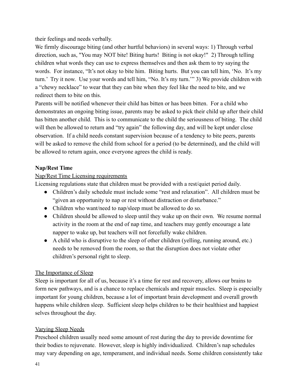their feelings and needs verbally.

We firmly discourage biting (and other hurtful behaviors) in several ways: 1) Through verbal direction, such as, "You may NOT bite! Biting hurts! Biting is not okay!" 2) Through telling children what words they can use to express themselves and then ask them to try saying the words. For instance, "It's not okay to bite him. Biting hurts. But you can tell him, 'No. It's my turn.' Try it now. Use your words and tell him, "No. It's my turn.'" 3) We provide children with a "chewy necklace" to wear that they can bite when they feel like the need to bite, and we redirect them to bite on this.

Parents will be notified whenever their child has bitten or has been bitten. For a child who demonstrates an ongoing biting issue, parents may be asked to pick their child up after their child has bitten another child. This is to communicate to the child the seriousness of biting. The child will then be allowed to return and "try again" the following day, and will be kept under close observation. If a child needs constant supervision because of a tendency to bite peers, parents will be asked to remove the child from school for a period (to be determined), and the child will be allowed to return again, once everyone agrees the child is ready.

# **Nap/Rest Time**

# Nap/Rest Time Licensing requirements

Licensing regulations state that children must be provided with a rest/quiet period daily.

- Children's daily schedule must include some "rest and relaxation". All children must be "given an opportunity to nap or rest without distraction or disturbance."
- Children who want/need to nap/sleep must be allowed to do so.
- Children should be allowed to sleep until they wake up on their own. We resume normal activity in the room at the end of nap time, and teachers may gently encourage a late napper to wake up, but teachers will not forcefully wake children.
- A child who is disruptive to the sleep of other children (yelling, running around, etc.) needs to be removed from the room, so that the disruption does not violate other children's personal right to sleep.

# The Importance of Sleep

Sleep is important for all of us, because it's a time for rest and recovery, allows our brains to form new pathways, and is a chance to replace chemicals and repair muscles. Sleep is especially important for young children, because a lot of important brain development and overall growth happens while children sleep. Sufficient sleep helps children to be their healthiest and happiest selves throughout the day.

# Varying Sleep Needs

Preschool children usually need some amount of rest during the day to provide downtime for their bodies to rejuvenate. However, sleep is highly individualized. Children's nap schedules may vary depending on age, temperament, and individual needs. Some children consistently take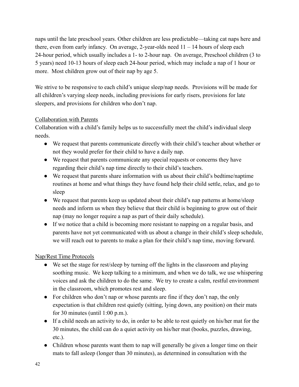naps until the late preschool years. Other children are less predictable—taking cat naps here and there, even from early infancy. On average, 2-year-olds need 11 – 14 hours of sleep each 24-hour period, which usually includes a 1- to 2-hour nap. On average, Preschool children (3 to 5 years) need 10-13 hours of sleep each 24-hour period, which may include a nap of 1 hour or more. Most children grow out of their nap by age 5.

We strive to be responsive to each child's unique sleep/nap needs. Provisions will be made for all children's varying sleep needs, including provisions for early risers, provisions for late sleepers, and provisions for children who don't nap.

# Collaboration with Parents

Collaboration with a child's family helps us to successfully meet the child's individual sleep needs.

- We request that parents communicate directly with their child's teacher about whether or not they would prefer for their child to have a daily nap.
- We request that parents communicate any special requests or concerns they have regarding their child's nap time directly to their child's teachers.
- We request that parents share information with us about their child's bedtime/naptime routines at home and what things they have found help their child settle, relax, and go to sleep
- We request that parents keep us updated about their child's nap patterns at home/sleep needs and inform us when they believe that their child is beginning to grow out of their nap (may no longer require a nap as part of their daily schedule).
- If we notice that a child is becoming more resistant to napping on a regular basis, and parents have not yet communicated with us about a change in their child's sleep schedule, we will reach out to parents to make a plan for their child's nap time, moving forward.

# Nap/Rest Time Protocols

- We set the stage for rest/sleep by turning off the lights in the classroom and playing soothing music. We keep talking to a minimum, and when we do talk, we use whispering voices and ask the children to do the same. We try to create a calm, restful environment in the classroom, which promotes rest and sleep.
- For children who don't nap or whose parents are fine if they don't nap, the only expectation is that children rest quietly (sitting, lying down, any position) on their mats for 30 minutes (until 1:00 p.m.).
- If a child needs an activity to do, in order to be able to rest quietly on his/her mat for the 30 minutes, the child can do a quiet activity on his/her mat (books, puzzles, drawing, etc.).
- Children whose parents want them to nap will generally be given a longer time on their mats to fall asleep (longer than 30 minutes), as determined in consultation with the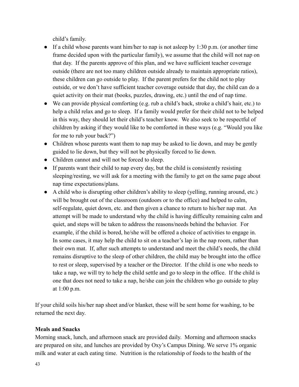child's family.

- If a child whose parents want him/her to nap is not asleep by 1:30 p.m. (or another time frame decided upon with the particular family), we assume that the child will not nap on that day. If the parents approve of this plan, and we have sufficient teacher coverage outside (there are not too many children outside already to maintain appropriate ratios), these children can go outside to play. If the parent prefers for the child not to play outside, or we don't have sufficient teacher coverage outside that day, the child can do a quiet activity on their mat (books, puzzles, drawing, etc.) until the end of nap time.
- We can provide physical comforting (e.g. rub a child's back, stroke a child's hair, etc.) to help a child relax and go to sleep. If a family would prefer for their child not to be helped in this way, they should let their child's teacher know. We also seek to be respectful of children by asking if they would like to be comforted in these ways (e.g. "Would you like for me to rub your back?")
- Children whose parents want them to nap may be asked to lie down, and may be gently guided to lie down, but they will not be physically forced to lie down.
- Children cannot and will not be forced to sleep.
- If parents want their child to nap every day, but the child is consistently resisting sleeping/resting, we will ask for a meeting with the family to get on the same page about nap time expectations/plans.
- A child who is disrupting other children's ability to sleep (yelling, running around, etc.) will be brought out of the classroom (outdoors or to the office) and helped to calm, self-regulate, quiet down, etc. and then given a chance to return to his/her nap mat. An attempt will be made to understand why the child is having difficulty remaining calm and quiet, and steps will be taken to address the reasons/needs behind the behavior. For example, if the child is bored, he/she will be offered a choice of activities to engage in. In some cases, it may help the child to sit on a teacher's lap in the nap room, rather than their own mat. If, after such attempts to understand and meet the child's needs, the child remains disruptive to the sleep of other children, the child may be brought into the office to rest or sleep, supervised by a teacher or the Director. If the child is one who needs to take a nap, we will try to help the child settle and go to sleep in the office. If the child is one that does not need to take a nap, he/she can join the children who go outside to play at 1:00 p.m.

If your child soils his/her nap sheet and/or blanket, these will be sent home for washing, to be returned the next day.

# **Meals and Snacks**

Morning snack, lunch, and afternoon snack are provided daily. Morning and afternoon snacks are prepared on site, and lunches are provided by Oxy's Campus Dining. We serve 1% organic milk and water at each eating time. Nutrition is the relationship of foods to the health of the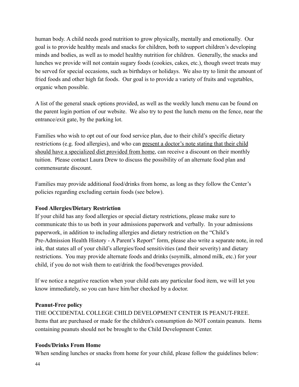human body. A child needs good nutrition to grow physically, mentally and emotionally. Our goal is to provide healthy meals and snacks for children, both to support children's developing minds and bodies, as well as to model healthy nutrition for children. Generally, the snacks and lunches we provide will not contain sugary foods (cookies, cakes, etc.), though sweet treats may be served for special occasions, such as birthdays or holidays. We also try to limit the amount of fried foods and other high fat foods. Our goal is to provide a variety of fruits and vegetables, organic when possible.

A list of the general snack options provided, as well as the weekly lunch menu can be found on the parent login portion of our website. We also try to post the lunch menu on the fence, near the entrance/exit gate, by the parking lot.

Families who wish to opt out of our food service plan, due to their child's specific dietary restrictions (e.g. food allergies), and who can present a doctor's note stating that their child should have a specialized diet provided from home, can receive a discount on their monthly tuition. Please contact Laura Drew to discuss the possibility of an alternate food plan and commensurate discount.

Families may provide additional food/drinks from home, as long as they follow the Center's policies regarding excluding certain foods (see below).

# **Food Allergies/Dietary Restriction**

If your child has any food allergies or special dietary restrictions, please make sure to communicate this to us both in your admissions paperwork and verbally. In your admissions paperwork, in addition to including allergies and dietary restriction on the "Child's Pre-Admission Health History - A Parent's Report" form, please also write a separate note, in red ink, that states all of your child's allergies/food sensitivities (and their severity) and dietary restrictions. You may provide alternate foods and drinks (soymilk, almond milk, etc.) for your child, if you do not wish them to eat/drink the food/beverages provided.

If we notice a negative reaction when your child eats any particular food item, we will let you know immediately, so you can have him/her checked by a doctor.

#### **Peanut-Free policy**

THE OCCIDENTAL COLLEGE CHILD DEVELOPMENT CENTER IS PEANUT-FREE. Items that are purchased or made for the children's consumption do NOT contain peanuts. Items containing peanuts should not be brought to the Child Development Center.

#### **Foods/Drinks From Home**

When sending lunches or snacks from home for your child, please follow the guidelines below: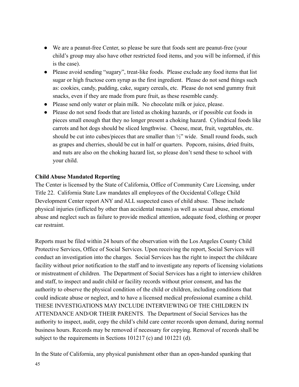- We are a peanut-free Center, so please be sure that foods sent are peanut-free (your child's group may also have other restricted food items, and you will be informed, if this is the case).
- Please avoid sending "sugary", treat-like foods. Please exclude any food items that list sugar or high fructose corn syrup as the first ingredient. Please do not send things such as: cookies, candy, pudding, cake, sugary cereals, etc. Please do not send gummy fruit snacks, even if they are made from pure fruit, as these resemble candy.
- Please send only water or plain milk. No chocolate milk or juice, please.
- Please do not send foods that are listed as choking hazards, or if possible cut foods in pieces small enough that they no longer present a choking hazard. Cylindrical foods like carrots and hot dogs should be sliced lengthwise. Cheese, meat, fruit, vegetables, etc. should be cut into cubes/pieces that are smaller than  $\frac{1}{2}$ " wide. Small round foods, such as grapes and cherries, should be cut in half or quarters. Popcorn, raisins, dried fruits, and nuts are also on the choking hazard list, so please don't send these to school with your child.

#### **Child Abuse Mandated Reporting**

The Center is licensed by the State of California, Office of Community Care Licensing, under Title 22. California State Law mandates all employees of the Occidental College Child Development Center report ANY and ALL suspected cases of child abuse. These include physical injuries (inflicted by other than accidental means) as well as sexual abuse, emotional abuse and neglect such as failure to provide medical attention, adequate food, clothing or proper car restraint.

Reports must be filed within 24 hours of the observation with the Los Angeles County Child Protective Services, Office of Social Services. Upon receiving the report, Social Services will conduct an investigation into the charges. Social Services has the right to inspect the childcare facility without prior notification to the staff and to investigate any reports of licensing violations or mistreatment of children. The Department of Social Services has a right to interview children and staff, to inspect and audit child or facility records without prior consent, and has the authority to observe the physical condition of the child or children, including conditions that could indicate abuse or neglect, and to have a licensed medical professional examine a child. THESE INVESTIGATIONS MAY INCLUDE INTERVIEWING OF THE CHILDREN IN ATTENDANCE AND/OR THEIR PARENTS. The Department of Social Services has the authority to inspect, audit, copy the child's child care center records upon demand, during normal business hours. Records may be removed if necessary for copying. Removal of records shall be subject to the requirements in Sections 101217 (c) and 101221 (d).

In the State of California, any physical punishment other than an open-handed spanking that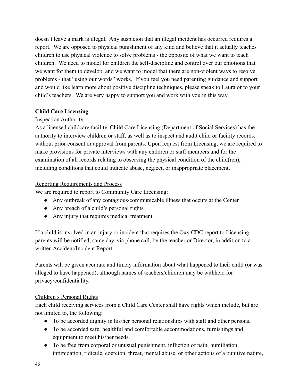doesn't leave a mark is illegal. Any suspicion that an illegal incident has occurred requires a report. We are opposed to physical punishment of any kind and believe that it actually teaches children to use physical violence to solve problems - the opposite of what we want to teach children. We need to model for children the self-discipline and control over our emotions that we want for them to develop, and we want to model that there are non-violent ways to resolve problems - that "using our words" works. If you feel you need parenting guidance and support and would like learn more about positive discipline techniques, please speak to Laura or to your child's teachers. We are very happy to support you and work with you in this way.

# **Child Care Licensing**

# Inspection Authority

As a licensed childcare facility, Child Care Licensing (Department of Social Services) has the authority to interview children or staff, as well as to inspect and audit child or facility records, without prior consent or approval from parents. Upon request from Licensing, we are required to make provisions for private interviews with any children or staff members and for the examination of all records relating to observing the physical condition of the child(ren), including conditions that could indicate abuse, neglect, or inappropriate placement.

# Reporting Requirements and Process

We are required to report to Community Care Licensing:

- Any outbreak of any contagious/communicable illness that occurs at the Center
- Any breach of a child's personal rights
- Any injury that requires medical treatment

If a child is involved in an injury or incident that requires the Oxy CDC report to Licensing, parents will be notified, same day, via phone call, by the teacher or Director, in addition to a written Accident/Incident Report.

Parents will be given accurate and timely information about what happened to their child (or was alleged to have happened), although names of teachers/children may be withheld for privacy/confidentiality.

# Children's Personal Rights

Each child receiving services from a Child Care Center shall have rights which include, but are not limited to, the following:

- To be accorded dignity in his/her personal relationships with staff and other persons.
- To be accorded safe, healthful and comfortable accommodations, furnishings and equipment to meet his/her needs.
- To be free from corporal or unusual punishment, infliction of pain, humiliation, intimidation, ridicule, coercion, threat, mental abuse, or other actions of a punitive nature,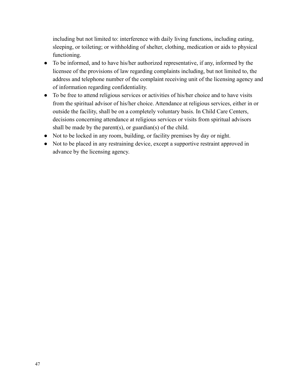including but not limited to: interference with daily living functions, including eating, sleeping, or toileting; or withholding of shelter, clothing, medication or aids to physical functioning.

- To be informed, and to have his/her authorized representative, if any, informed by the licensee of the provisions of law regarding complaints including, but not limited to, the address and telephone number of the complaint receiving unit of the licensing agency and of information regarding confidentiality.
- To be free to attend religious services or activities of his/her choice and to have visits from the spiritual advisor of his/her choice. Attendance at religious services, either in or outside the facility, shall be on a completely voluntary basis. In Child Care Centers, decisions concerning attendance at religious services or visits from spiritual advisors shall be made by the parent(s), or guardian(s) of the child.
- Not to be locked in any room, building, or facility premises by day or night.
- Not to be placed in any restraining device, except a supportive restraint approved in advance by the licensing agency.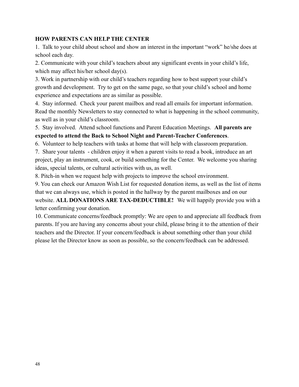#### **HOW PARENTS CAN HELP THE CENTER**

1. Talk to your child about school and show an interest in the important "work" he/she does at school each day.

2. Communicate with your child's teachers about any significant events in your child's life, which may affect his/her school day(s).

3. Work in partnership with our child's teachers regarding how to best support your child's growth and development. Try to get on the same page, so that your child's school and home experience and expectations are as similar as possible.

4. Stay informed. Check your parent mailbox and read all emails for important information. Read the monthly Newsletters to stay connected to what is happening in the school community, as well as in your child's classroom.

# 5. Stay involved. Attend school functions and Parent Education Meetings. **All parents are expected to attend the Back to School Night and Parent-Teacher Conferences**.

6. Volunteer to help teachers with tasks at home that will help with classroom preparation.

7. Share your talents - children enjoy it when a parent visits to read a book, introduce an art project, play an instrument, cook, or build something for the Center. We welcome you sharing ideas, special talents, or cultural activities with us, as well.

8. Pitch-in when we request help with projects to improve the school environment.

9. You can check our Amazon Wish List for requested donation items, as well as the list of items that we can always use, which is posted in the hallway by the parent mailboxes and on our website. **ALL DONATIONS ARE TAX-DEDUCTIBLE!** We will happily provide you with a letter confirming your donation.

10. Communicate concerns/feedback promptly: We are open to and appreciate all feedback from parents. If you are having any concerns about your child, please bring it to the attention of their teachers and the Director. If your concern/feedback is about something other than your child please let the Director know as soon as possible, so the concern/feedback can be addressed.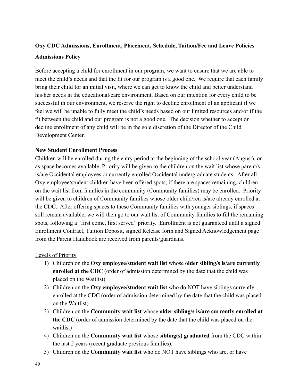# **Oxy CDC Admissions, Enrollment, Placement, Schedule, Tuition/Fee and Leave Policies Admissions Policy**

Before accepting a child for enrollment in our program, we want to ensure that we are able to meet the child's needs and that the fit for our program is a good one. We require that each family bring their child for an initial visit, where we can get to know the child and better understand his/her needs in the educational/care environment. Based on our intention for every child to be successful in our environment, we reserve the right to decline enrollment of an applicant if we feel we will be unable to fully meet the child's needs based on our limited resources and/or if the fit between the child and our program is not a good one. The decision whether to accept or decline enrollment of any child will be in the sole discretion of the Director of the Child Development Center.

#### **New Student Enrollment Process**

Children will be enrolled during the entry period at the beginning of the school year (August), or as space becomes available. Priority will be given to the children on the wait list whose parent/s is/are Occidental employees or currently enrolled Occidental undergraduate students. After all Oxy employee/student children have been offered spots, if there are spaces remaining, children on the wait list from families in the community (Community families) may be enrolled. Priority will be given to children of Community families whose older child/ren is/are already enrolled at the CDC. After offering spaces to these Community families with younger siblings, if spaces still remain available, we will then go to our wait list of Community families to fill the remaining spots, following a "first come, first served" priority. Enrollment is not guaranteed until a signed Enrollment Contract, Tuition Deposit, signed Release form and Signed Acknowledgement page from the Parent Handbook are received from parents/guardians.

#### Levels of Priority

- 1) Children on the **Oxy employee/student wait list** whose **older sibling/s is/are currently enrolled at the CDC** (order of admission determined by the date that the child was placed on the Waitlist)
- 2) Children on the **Oxy employee/student wait list** who do NOT have siblings currently enrolled at the CDC (order of admission determined by the date that the child was placed on the Waitlist)
- 3) Children on the **Community wait list** whose **older sibling/s is/are currently enrolled at the CDC** (order of admission determined by the date that the child was placed on the waitlist)
- 4) Children on the **Community wait list** whose s**ibling(s) graduated** from the CDC within the last 2 years (recent graduate previous families).
- 5) Children on the **Community wait list** who do NOT have siblings who are, or have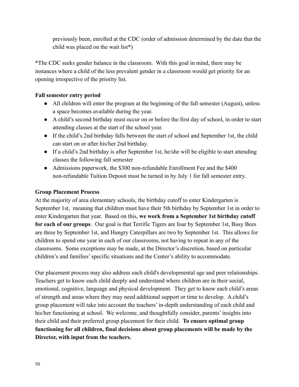previously been, enrolled at the CDC (order of admission determined by the date that the child was placed on the wait list\*)

\*The CDC seeks gender balance in the classroom. With this goal in mind, there may be instances where a child of the less prevalent gender in a classroom would get priority for an opening irrespective of the priority list.

# **Fall semester entry period**

- All children will enter the program at the beginning of the fall semester (August), unless a space becomes available during the year.
- A child's second birthday must occur on or before the first day of school, in order to start attending classes at the start of the school year.
- If the child's 2nd birthday falls between the start of school and September 1st, the child can start on or after his/her 2nd birthday.
- If a child's 2nd birthday is after September 1st, he/she will be eligible to start attending classes the following fall semester
- Admissions paperwork, the \$300 non-refundable Enrollment Fee and the \$400 non-refundable Tuition Deposit must be turned in by July 1 for fall semester entry.

#### **Group Placement Process**

At the majority of area elementary schools, the birthday cutoff to enter Kindergarten is September 1st, meaning that children must have their 5th birthday by September 1st in order to enter Kindergarten that year. Based on this, **we work from a September 1st birthday cutoff for each of our groups**. Our goal is that Terrific Tigers are four by September 1st, Busy Bees are three by September 1st, and Hungry Caterpillars are two by September 1st. This allows for children to spend one year in each of our classrooms, not having to repeat in any of the classrooms. Some exceptions may be made, at the Director's discretion, based on particular children's and families' specific situations and the Center's ability to accommodate.

Our placement process may also address each child's developmental age and peer relationships. Teachers get to know each child deeply and understand where children are in their social, emotional, cognitive, language and physical development. They get to know each child's areas of strength and areas where they may need additional support or time to develop. A child's group placement will take into account the teachers' in-depth understanding of each child and his/her functioning at school. We welcome, and thoughtfully consider, parents' insights into their child and their preferred group placement for their child. **To ensure optimal group functioning for all children, final decisions about group placements will be made by the Director, with input from the teachers.**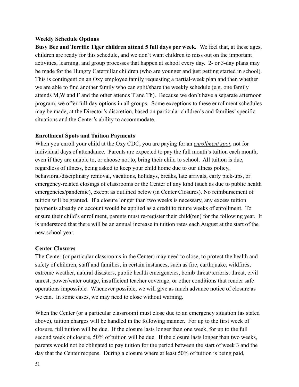#### **Weekly Schedule Options**

**Busy Bee and Terrific Tiger children attend 5 full days per week.** We feel that, at these ages, children are ready for this schedule, and we don't want children to miss out on the important activities, learning, and group processes that happen at school every day. 2- or 3-day plans may be made for the Hungry Caterpillar children (who are younger and just getting started in school). This is contingent on an Oxy employee family requesting a partial-week plan and then whether we are able to find another family who can split/share the weekly schedule (e.g. one family attends M,W and F and the other attends T and Th). Because we don't have a separate afternoon program, we offer full-day options in all groups. Some exceptions to these enrollment schedules may be made, at the Director's discretion, based on particular children's and families' specific situations and the Center's ability to accommodate.

#### **Enrollment Spots and Tuition Payments**

When you enroll your child at the Oxy CDC, you are paying for an *enrollment spot*, not for individual days of attendance. Parents are expected to pay the full month's tuition each month, even if they are unable to, or choose not to, bring their child to school. All tuition is due, regardless of illness, being asked to keep your child home due to our illness policy, behavioral/disciplinary removal, vacations, holidays, breaks, late arrivals, early pick-ups, or emergency-related closings of classrooms or the Center of any kind (such as due to public health emergencies/pandemic), except as outlined below (in Center Closures). No reimbursement of tuition will be granted. If a closure longer than two weeks is necessary, any excess tuition payments already on account would be applied as a credit to future weeks of enrollment. To ensure their child's enrollment, parents must re-register their child(ren) for the following year. It is understood that there will be an annual increase in tuition rates each August at the start of the new school year.

#### **Center Closures**

The Center (or particular classrooms in the Center) may need to close, to protect the health and safety of children, staff and families, in certain instances, such as fire, earthquake, wildfires, extreme weather, natural disasters, public health emergencies, bomb threat/terrorist threat, civil unrest, power/water outage, insufficient teacher coverage, or other conditions that render safe operations impossible. Whenever possible, we will give as much advance notice of closure as we can. In some cases, we may need to close without warning.

When the Center (or a particular classroom) must close due to an emergency situation (as stated above), tuition charges will be handled in the following manner. For up to the first week of closure, full tuition will be due. If the closure lasts longer than one week, for up to the full second week of closure, 50% of tuition will be due. If the closure lasts longer than two weeks, parents would not be obligated to pay tuition for the period between the start of week 3 and the day that the Center reopens. During a closure where at least 50% of tuition is being paid,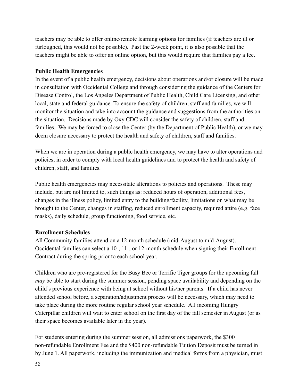teachers may be able to offer online/remote learning options for families (if teachers are ill or furloughed, this would not be possible). Past the 2-week point, it is also possible that the teachers might be able to offer an online option, but this would require that families pay a fee.

#### **Public Health Emergencies**

In the event of a public health emergency, decisions about operations and/or closure will be made in consultation with Occidental College and through considering the guidance of the Centers for Disease Control, the Los Angeles Department of Public Health, Child Care Licensing, and other local, state and federal guidance. To ensure the safety of children, staff and families, we will monitor the situation and take into account the guidance and suggestions from the authorities on the situation. Decisions made by Oxy CDC will consider the safety of children, staff and families. We may be forced to close the Center (by the Department of Public Health), or we may deem closure necessary to protect the health and safety of children, staff and families.

When we are in operation during a public health emergency, we may have to alter operations and policies, in order to comply with local health guidelines and to protect the health and safety of children, staff, and families.

Public health emergencies may necessitate alterations to policies and operations. These may include, but are not limited to, such things as: reduced hours of operation, additional fees, changes in the illness policy, limited entry to the building/facility, limitations on what may be brought to the Center, changes in staffing, reduced enrollment capacity, required attire (e.g. face masks), daily schedule, group functioning, food service, etc.

# **Enrollment Schedules**

All Community families attend on a 12-month schedule (mid-August to mid-August). Occidental families can select a 10-, 11-, or 12-month schedule when signing their Enrollment Contract during the spring prior to each school year.

Children who are pre-registered for the Busy Bee or Terrific Tiger groups for the upcoming fall *may* be able to start during the summer session, pending space availability and depending on the child's previous experience with being at school without his/her parents. If a child has never attended school before, a separation/adjustment process will be necessary, which may need to take place during the more routine regular school year schedule. All incoming Hungry Caterpillar children will wait to enter school on the first day of the fall semester in August (or as their space becomes available later in the year).

For students entering during the summer session, all admissions paperwork, the \$300 non-refundable Enrollment Fee and the \$400 non-refundable Tuition Deposit must be turned in by June 1. All paperwork, including the immunization and medical forms from a physician, must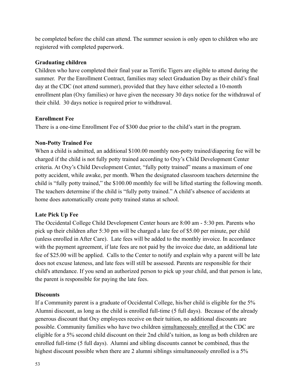be completed before the child can attend. The summer session is only open to children who are registered with completed paperwork.

#### **Graduating children**

Children who have completed their final year as Terrific Tigers are eligible to attend during the summer. Per the Enrollment Contract, families may select Graduation Day as their child's final day at the CDC (not attend summer), provided that they have either selected a 10-month enrollment plan (Oxy families) or have given the necessary 30 days notice for the withdrawal of their child. 30 days notice is required prior to withdrawal.

# **Enrollment Fee**

There is a one-time Enrollment Fee of \$300 due prior to the child's start in the program.

# **Non-Potty Trained Fee**

When a child is admitted, an additional \$100.00 monthly non-potty trained/diapering fee will be charged if the child is not fully potty trained according to Oxy's Child Development Center criteria. At Oxy's Child Development Center, "fully potty trained" means a maximum of one potty accident, while awake, per month. When the designated classroom teachers determine the child is "fully potty trained," the \$100.00 monthly fee will be lifted starting the following month. The teachers determine if the child is "fully potty trained." A child's absence of accidents at home does automatically create potty trained status at school.

# **Late Pick Up Fee**

The Occidental College Child Development Center hours are 8:00 am - 5:30 pm. Parents who pick up their children after 5:30 pm will be charged a late fee of \$5.00 per minute, per child (unless enrolled in After Care). Late fees will be added to the monthly invoice. In accordance with the payment agreement, if late fees are not paid by the invoice due date, an additional late fee of \$25.00 will be applied. Calls to the Center to notify and explain why a parent will be late does not excuse lateness, and late fees will still be assessed. Parents are responsible for their child's attendance. If you send an authorized person to pick up your child, and that person is late, the parent is responsible for paying the late fees.

#### **Discounts**

If a Community parent is a graduate of Occidental College, his/her child is eligible for the 5% Alumni discount, as long as the child is enrolled full-time (5 full days). Because of the already generous discount that Oxy employees receive on their tuition, no additional discounts are possible. Community families who have two children simultaneously enrolled at the CDC are eligible for a 5% second child discount on their 2nd child's tuition, as long as both children are enrolled full-time (5 full days). Alumni and sibling discounts cannot be combined, thus the highest discount possible when there are 2 alumni siblings simultaneously enrolled is a 5%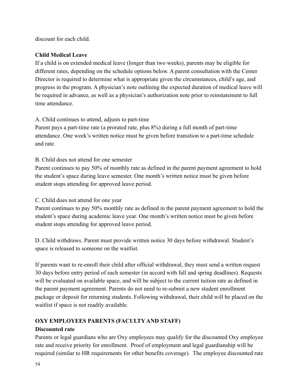discount for each child.

# **Child Medical Leave**

If a child is on extended medical leave (longer than two weeks), parents may be eligible for different rates, depending on the schedule options below. A parent consultation with the Center Director is required to determine what is appropriate given the circumstances, child's age, and progress in the program. A physician's note outlining the expected duration of medical leave will be required in advance, as well as a physician's authorization note prior to reinstatement to full time attendance.

# A. Child continues to attend, adjusts to part-time

Parent pays a part-time rate (a prorated rate, plus 8%) during a full month of part-time attendance. One week's written notice must be given before transition to a part-time schedule and rate.

# B. Child does not attend for one semester

Parent continues to pay 50% of monthly rate as defined in the parent payment agreement to hold the student's space during leave semester. One month's written notice must be given before student stops attending for approved leave period.

# C. Child does not attend for one year

Parent continues to pay 50% monthly rate as defined in the parent payment agreement to hold the student's space during academic leave year. One month's written notice must be given before student stops attending for approved leave period.

D. Child withdraws. Parent must provide written notice 30 days before withdrawal. Student's space is released to someone on the waitlist.

If parents want to re-enroll their child after official withdrawal, they must send a written request 30 days before entry period of each semester (in accord with fall and spring deadlines). Requests will be evaluated on available space, and will be subject to the current tuition rate as defined in the parent payment agreement. Parents do not need to re-submit a new student enrollment package or deposit for returning students. Following withdrawal, their child will be placed on the waitlist if space is not readily available.

# **OXY EMPLOYEES PARENTS (FACULTY AND STAFF)**

# **Discounted rate**

Parents or legal guardians who are Oxy employees may qualify for the discounted Oxy employee rate and receive priority for enrollment. Proof of employment and legal guardianship will be required (similar to HR requirements for other benefits coverage). The employee discounted rate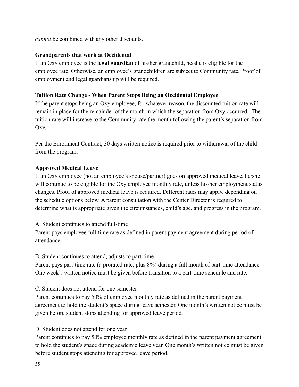*cannot* be combined with any other discounts.

# **Grandparents that work at Occidental**

If an Oxy employee is the **legal guardian** of his/her grandchild, he/she is eligible for the employee rate. Otherwise, an employee's grandchildren are subject to Community rate. Proof of employment and legal guardianship will be required.

#### **Tuition Rate Change - When Parent Stops Being an Occidental Employee**

If the parent stops being an Oxy employee, for whatever reason, the discounted tuition rate will remain in place for the remainder of the month in which the separation from Oxy occurred. The tuition rate will increase to the Community rate the month following the parent's separation from Oxy.

Per the Enrollment Contract, 30 days written notice is required prior to withdrawal of the child from the program.

#### **Approved Medical Leave**

If an Oxy employee (not an employee's spouse/partner) goes on approved medical leave, he/she will continue to be eligible for the Oxy employee monthly rate, unless his/her employment status changes. Proof of approved medical leave is required. Different rates may apply, depending on the schedule options below. A parent consultation with the Center Director is required to determine what is appropriate given the circumstances, child's age, and progress in the program.

#### A. Student continues to attend full-time

Parent pays employee full-time rate as defined in parent payment agreement during period of attendance.

#### B. Student continues to attend, adjusts to part-time

Parent pays part-time rate (a prorated rate, plus 8%) during a full month of part-time attendance. One week's written notice must be given before transition to a part-time schedule and rate.

#### C. Student does not attend for one semester

Parent continues to pay 50% of employee monthly rate as defined in the parent payment agreement to hold the student's space during leave semester. One month's written notice must be given before student stops attending for approved leave period.

# D. Student does not attend for one year

Parent continues to pay 50% employee monthly rate as defined in the parent payment agreement to hold the student's space during academic leave year. One month's written notice must be given before student stops attending for approved leave period.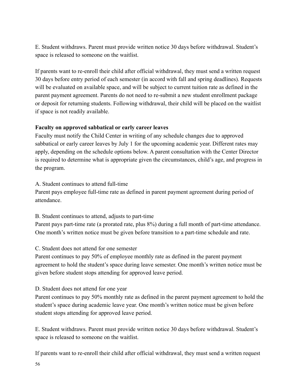E. Student withdraws. Parent must provide written notice 30 days before withdrawal. Student's space is released to someone on the waitlist.

If parents want to re-enroll their child after official withdrawal, they must send a written request 30 days before entry period of each semester (in accord with fall and spring deadlines). Requests will be evaluated on available space, and will be subject to current tuition rate as defined in the parent payment agreement. Parents do not need to re-submit a new student enrollment package or deposit for returning students. Following withdrawal, their child will be placed on the waitlist if space is not readily available.

#### **Faculty on approved sabbatical or early career leaves**

Faculty must notify the Child Center in writing of any schedule changes due to approved sabbatical or early career leaves by July 1 for the upcoming academic year. Different rates may apply, depending on the schedule options below. A parent consultation with the Center Director is required to determine what is appropriate given the circumstances, child's age, and progress in the program.

# A. Student continues to attend full-time

Parent pays employee full-time rate as defined in parent payment agreement during period of attendance.

# B. Student continues to attend, adjusts to part-time

Parent pays part-time rate (a prorated rate, plus 8%) during a full month of part-time attendance. One month's written notice must be given before transition to a part-time schedule and rate.

# C. Student does not attend for one semester

Parent continues to pay 50% of employee monthly rate as defined in the parent payment agreement to hold the student's space during leave semester. One month's written notice must be given before student stops attending for approved leave period.

# D. Student does not attend for one year

Parent continues to pay 50% monthly rate as defined in the parent payment agreement to hold the student's space during academic leave year. One month's written notice must be given before student stops attending for approved leave period.

E. Student withdraws. Parent must provide written notice 30 days before withdrawal. Student's space is released to someone on the waitlist.

If parents want to re-enroll their child after official withdrawal, they must send a written request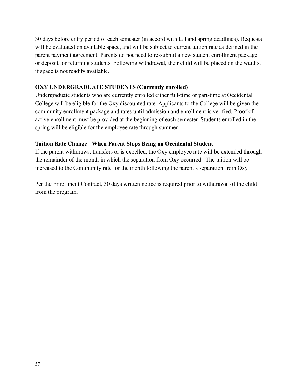30 days before entry period of each semester (in accord with fall and spring deadlines). Requests will be evaluated on available space, and will be subject to current tuition rate as defined in the parent payment agreement. Parents do not need to re-submit a new student enrollment package or deposit for returning students. Following withdrawal, their child will be placed on the waitlist if space is not readily available.

#### **OXY UNDERGRADUATE STUDENTS (Currently enrolled)**

Undergraduate students who are currently enrolled either full-time or part-time at Occidental College will be eligible for the Oxy discounted rate. Applicants to the College will be given the community enrollment package and rates until admission and enrollment is verified. Proof of active enrollment must be provided at the beginning of each semester. Students enrolled in the spring will be eligible for the employee rate through summer.

#### **Tuition Rate Change - When Parent Stops Being an Occidental Student**

If the parent withdraws, transfers or is expelled, the Oxy employee rate will be extended through the remainder of the month in which the separation from Oxy occurred. The tuition will be increased to the Community rate for the month following the parent's separation from Oxy.

Per the Enrollment Contract, 30 days written notice is required prior to withdrawal of the child from the program.